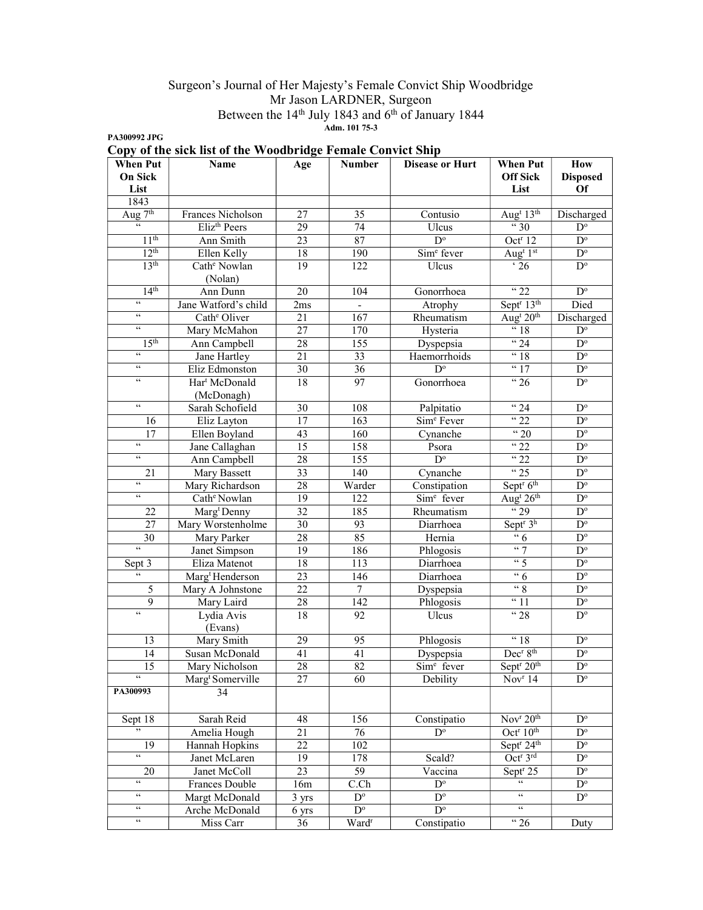## Surgeon's Journal of Her Majesty's Female Convict Ship Woodbridge Mr Jason LARDNER, Surgeon Between the 14<sup>th</sup> July 1843 and 6<sup>th</sup> of January 1844 Adm. 101 75-3

PA300992 JPG

|  |  | Copy of the sick list of the Woodbridge Female Convict Ship |  |  |
|--|--|-------------------------------------------------------------|--|--|
|  |  |                                                             |  |  |

| <b>When Put</b>            | Name                         | Age             | <b>Number</b>            | <b>Disease or Hurt</b> | <b>When Put</b>                      | How                     |
|----------------------------|------------------------------|-----------------|--------------------------|------------------------|--------------------------------------|-------------------------|
| <b>On Sick</b>             |                              |                 |                          |                        | <b>Off Sick</b>                      | <b>Disposed</b>         |
| List                       |                              |                 |                          |                        | List                                 | Of                      |
| 1843                       |                              |                 |                          |                        |                                      |                         |
| Aug $\overline{7^{th}}$    | Frances Nicholson            | 27              | 35                       | Contusio               | Aug <sup>t</sup> 13 <sup>th</sup>    | Discharged              |
| $\zeta\,\zeta$             | Eliz <sup>th</sup> Peers     | 29              | 74                       | Ulcus                  | $\frac{1}{10}$ 30                    | $D^{\circ}$             |
| 11 <sup>th</sup>           | Ann Smith                    | 23              | 87                       | $D^{\circ}$            | Oct <sup>r</sup> 12                  | $D^{\circ}$             |
| 12 <sup>th</sup>           | Ellen Kelly                  | 18              | 190                      | Sim <sup>e</sup> fever | Aug <sup>t</sup> 1st                 | $D^{\circ}$             |
| 13 <sup>th</sup>           | Cath <sup>e</sup> Nowlan     | 19              | 122                      | Ulcus                  | $\cdot$ 26                           | $D^{\circ}$             |
|                            | (Nolan)                      |                 |                          |                        |                                      |                         |
| 14 <sup>th</sup>           | Ann Dunn                     | 20              | 104                      | Gonorrhoea             | $\frac{1}{22}$                       | $D^{\circ}$             |
| $\mathfrak{c}\mathfrak{c}$ | Jane Watford's child         | 2ms             | $\overline{\phantom{a}}$ | Atrophy                | Sept <sup>r</sup> 13 <sup>th</sup>   | Died                    |
| $\zeta\,\zeta$             | Cath <sup>e</sup> Oliver     | 21              | 167                      | Rheumatism             | Aug <sup>t</sup> $20th$              | Discharged              |
| $\zeta\,\zeta$             | Mary McMahon                 | 27              | 170                      | Hysteria               | $\frac{1}{6}$ 18                     | $D^{\circ}$             |
| 15 <sup>th</sup>           | Ann Campbell                 | 28              | $\overline{155}$         | Dyspepsia              | $\frac{4}{24}$                       | $\mathbf{D}^{\text{o}}$ |
| $\zeta\,\zeta$             | Jane Hartley                 | 21              | 33                       | Haemorrhoids           | "18                                  | $\overline{D^{\circ}}$  |
| $\zeta\,\zeta$             | Eliz Edmonston               | 30              | 36                       | $D^{\circ}$            | $\frac{17}{17}$                      | $\overline{D^o}$        |
| $\zeta\,\zeta$             | Har <sup>t</sup> McDonald    | 18              | 97                       | Gonorrhoea             | $\sqrt{26}$                          | $\mathbf{D}^{\text{o}}$ |
|                            | (McDonagh)                   |                 |                          |                        |                                      |                         |
| $\zeta\,\zeta$             | Sarah Schofield              | 30              | 108                      | Palpitatio             | $\sqrt{24}$                          | $\mathbf{D}^{\text{o}}$ |
| 16                         | Eliz Layton                  | 17              | 163                      | Sim <sup>e</sup> Fever | $\frac{1}{22}$                       | $\mathbf{D}^{\text{o}}$ |
| 17                         | Ellen Boyland                | 43              | $\overline{160}$         | Cynanche               | "20                                  | $\overline{D^{\circ}}$  |
| $\zeta\,\zeta$             | Jane Callaghan               | $\overline{15}$ | 158                      | Psora                  | "22                                  | $\overline{D^{\circ}}$  |
| $\zeta\,\zeta$             | Ann Campbell                 | 28              | $\overline{155}$         | $D^{\circ}$            | "22                                  | $\mathbf{D}^{\text{o}}$ |
| 21                         | Mary Bassett                 | 33              | 140                      | Cynanche               | $\frac{1}{25}$                       | $\mathbf{D}^{\text{o}}$ |
| $\zeta\,\zeta$             | Mary Richardson              | 28              | Warder                   | Constipation           | Sept <sup>r</sup> 6 <sup>th</sup>    | $\mathbf{D}^{\text{o}}$ |
| $\zeta\,\zeta$             | Cath <sup>e</sup> Nowlan     | 19              | 122                      | Sim <sup>e</sup> fever | Aug <sup>t</sup> $26th$              | $\mathbf{D}^{\text{o}}$ |
| 22                         | Marg <sup>t</sup> Denny      | 32              | 185                      | Rheumatism             | $\sqrt{29}$                          | $D^{\circ}$             |
| 27                         | Mary Worstenholme            | 30              | 93                       | Diarrhoea              | Sept <sup>r</sup> $3^{\overline{h}}$ | $\mathbf{D}^{\text{o}}$ |
| 30                         | Mary Parker                  | $\overline{28}$ | 85                       | Hernia                 | $\overline{6}$                       | $\mathbf{D}^{\text{o}}$ |
| $\epsilon$                 | Janet Simpson                | $\overline{19}$ | 186                      | Phlogosis              | $\frac{1}{2}$                        | $\overline{D^{\circ}}$  |
| Sept 3                     | Eliza Matenot                | 18              | 113                      | Diarrhoea              | $\frac{1}{5}$                        | $\overline{D^{\circ}}$  |
| $\overline{\omega}$        | Marg <sup>t</sup> Henderson  | 23              | 146                      | Diarrhoea              | $\cdot \cdot 6$                      | $\overline{D^{\circ}}$  |
| 5                          | Mary A Johnstone             | 22              | $\overline{7}$           | Dyspepsia              | $\frac{1}{2}$                        | $\mathbf{D}^{\text{o}}$ |
| 9                          | Mary Laird                   | 28              | 142                      | Phlogosis              | $\overline{31}$                      | $\mathbf{D}^{\text{o}}$ |
| $\zeta\,\zeta$             | Lydia Avis                   | 18              | 92                       | Ulcus                  | "28                                  | $D^{\circ}$             |
|                            | (Evans)                      |                 |                          |                        |                                      |                         |
| 13                         | Mary Smith                   | 29              | 95                       | Phlogosis              | $\sqrt{18}$                          | $D^{\circ}$             |
| 14                         | Susan McDonald               | 41              | 41                       | Dyspepsia              | Dec <sup>r</sup> 8 <sup>th</sup>     | $\overline{D^{\circ}}$  |
| 15                         | Mary Nicholson               | $\overline{28}$ | $\overline{82}$          | Sim <sup>e</sup> fever | Sept <sup>r</sup> 20 <sup>th</sup>   | $\overline{D^{\circ}}$  |
| $\epsilon\epsilon$         | Marg <sup>t</sup> Somerville | 27              | 60                       | Debility               | Nov <sup>r</sup> 14                  | $\mathbf{D}^{\text{o}}$ |
| PA300993                   | 34                           |                 |                          |                        |                                      |                         |
|                            |                              |                 |                          |                        |                                      |                         |
| Sept 18                    | Sarah Reid                   | 48              | 156                      | Constipatio            | Nov <sup>r</sup> 20 <sup>th</sup>    | $D^{\circ}$             |
| ,,                         | Amelia Hough                 | 21              | 76                       | $D^{\circ}$            | Oct <sup>r</sup> 10 <sup>th</sup>    | $D^{\circ}$             |
| 19                         | Hannah Hopkins               | $\overline{22}$ | 102                      |                        | Sept <sup>r</sup> 24 <sup>th</sup>   | $D^{\circ}$             |
| $\mathfrak{c}\mathfrak{c}$ | Janet McLaren                | 19              | 178                      | Scald?                 | Oct <sup>r</sup> 3rd                 | $D^{\circ}$             |
| 20                         | Janet McColl                 | $\overline{23}$ | $\overline{59}$          | Vaccina                | Sept <sup>r</sup> 25                 | $D^{\circ}$             |
| $\epsilon$                 | <b>Frances Double</b>        | 16m             | C Ch                     | $\overline{D^{\circ}}$ | $\overline{\mathfrak{c}}$            | $D^{\circ}$             |
| $\mathfrak{c}\mathfrak{c}$ | Margt McDonald               | 3 yrs           | $D^{\circ}$              | $D^{\circ}$            | $\overline{\mathfrak{c}}$            | $\mathbf{D}^{\text{o}}$ |
| $\mathfrak{c}\mathfrak{c}$ | Arche McDonald               | 6 yrs           | $D^{\circ}$              | $D^{\circ}$            | $\mathfrak{c}\,\mathfrak{c}$         |                         |
| $\epsilon\epsilon$         | Miss Carr                    | 36              | Ward <sup>r</sup>        | Constipatio            | $\lq$ 26                             | Duty                    |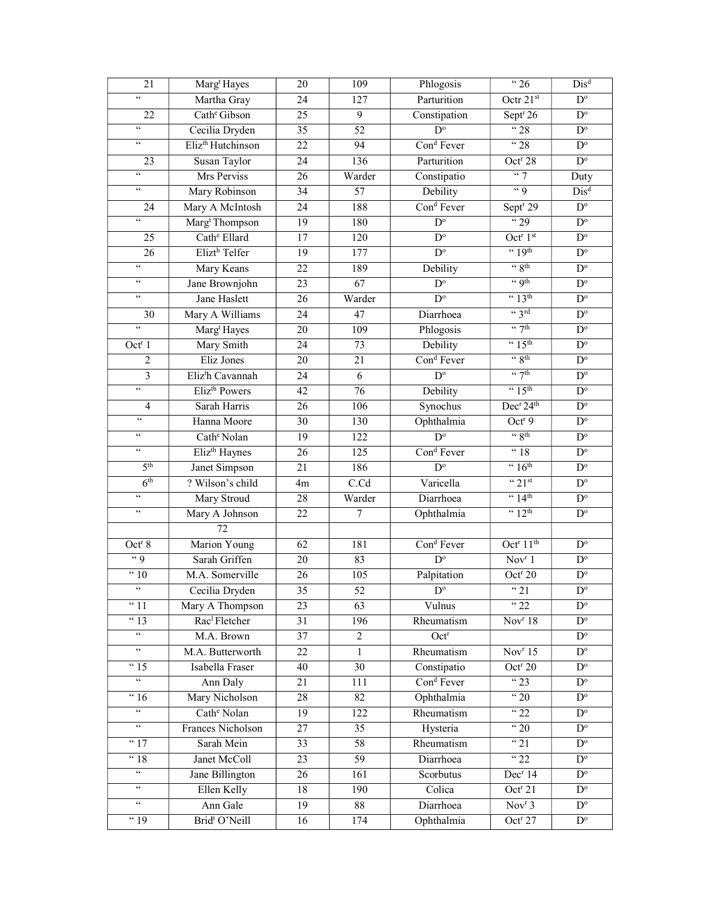| 21                                    | Marg <sup>t</sup> Hayes       | 20              | 109              | Phlogosis               | $\frac{1}{26}$                    | $Dis^d$                 |
|---------------------------------------|-------------------------------|-----------------|------------------|-------------------------|-----------------------------------|-------------------------|
| $\mathfrak{c}\mathfrak{c}$            | Martha Gray                   | 24              | 127              | Parturition             | Octr 21st                         | $D^{\circ}$             |
| $\overline{22}$                       | Cath <sup>e</sup> Gibson      | $\overline{25}$ | $\overline{9}$   | Constipation            | Sept <sup>r</sup> 26              | $\mathbf{D}^{\text{o}}$ |
| $\epsilon\,\epsilon$                  | Cecilia Dryden                | 35              | $\overline{52}$  | $D^{\circ}$             | 428                               | $\mathbf{D}^{\text{o}}$ |
| $\zeta\,\zeta$                        | Eliz <sup>th</sup> Hutchinson | 22              | 94               | Cond Fever              | "28                               | $D^{\rm o}$             |
| 23                                    | Susan Taylor                  | 24              | 136              | Parturition             | Oct <sup>r</sup> 28               | $\overline{D^o}$        |
| $\mathfrak{c}\mathfrak{c}$            | Mrs Perviss                   | 26              | Warder           | Constipatio             | $\lq\lq$ 7                        | Duty                    |
| $\epsilon\epsilon$                    | Mary Robinson                 | 34              | $\overline{57}$  | Debility                | $\lq q$                           | $Dis^d$                 |
| 24                                    | Mary A McIntosh               | 24              | 188              | Con <sup>d</sup> Fever  | Sept <sup>r</sup> 29              | $D^{\circ}$             |
| $\overline{\mathfrak{c}\mathfrak{c}}$ | Marg <sup>t</sup> Thompson    | 19              | 180              | $\overline{D^{\circ}}$  | $\frac{1}{29}$                    | $\mathbf{D}^{\text{o}}$ |
| 25                                    | Cath <sup>e</sup> Ellard      | 17              | 120              | $D^{\circ}$             | Oct <sup>r</sup> 1 <sup>st</sup>  | $\mathbf{D}^{\text{o}}$ |
| 26                                    | Elizt <sup>h</sup> Telfer     | $\overline{19}$ | 177              | $D^{\circ}$             | $\cdot \cdot 19$ <sup>th</sup>    | $\overline{D^{\circ}}$  |
| $\epsilon\epsilon$                    | Mary Keans                    | 22              | 189              | Debility                | $\cdot \cdot$ 8 <sup>th</sup>     | $\mathbf{D}^{\text{o}}$ |
| $\epsilon\,\epsilon$                  | Jane Brownjohn                | 23              | 67               | $\mathbf{D}^{\text{o}}$ | " Qth                             | $\mathbf{D}^{\text{o}}$ |
| $\epsilon\,\epsilon$                  | Jane Haslett                  | 26              | Warder           | $D^{\circ}$             | $\cdot \cdot 13$ <sup>th</sup>    | $\mathbf{D}^{\text{o}}$ |
| 30                                    | Mary A Williams               | 24              | 47               | Diarrhoea               | $\frac{1}{3}$ rd                  | $\mathbf{D}^{\text{o}}$ |
| $\overline{\mathfrak{c}\mathfrak{c}}$ | Marg <sup>t</sup> Hayes       | 20              | 109              | Phlogosis               | $\frac{1}{7}$ th                  | $\mathbf{D}^{\text{o}}$ |
| Oct <sup>r</sup> 1                    | Mary Smith                    | 24              | 73               | Debility                | $\cdot \cdot 15^{\text{th}}$      | $\mathbf{D}^{\text{o}}$ |
| 2                                     | Eliz Jones                    | 20              | 21               | Con <sup>d</sup> Fever  | $\frac{1}{2}$ 8th                 | $\mathbf{D}^{\text{o}}$ |
| $\overline{\mathbf{3}}$               | Eliz <sup>t</sup> h Cavannah  | 24              | 6                | $D^{\circ}$             | $\frac{1}{2}$                     | $\mathbf{D}^{\text{o}}$ |
| $\mathfrak{c}\mathfrak{c}$            | Eliz <sup>th</sup> Powers     | $\overline{42}$ | $\overline{76}$  | Debility                | $\cdot \cdot 15^{\text{th}}$      | $\mathbf{D}^{\text{o}}$ |
| $\overline{4}$                        | Sarah Harris                  | $\overline{26}$ | 106              | Synochus                | Dec <sup>r</sup> 24 <sup>th</sup> | $D^{\circ}$             |
| $\epsilon\,\epsilon$                  | Hanna Moore                   | 30              | 130              | Ophthalmia              | Oct <sup>r9</sup>                 | $\mathbf{D}^{\text{o}}$ |
| $\epsilon\,\epsilon$                  | Cath <sup>e</sup> Nolan       | 19              | 122              | $\mathbf{D}^{\text{o}}$ | $\frac{1}{3}$                     | $\mathbf{D}^{\text{o}}$ |
| $\epsilon\,\epsilon$                  | Eliz <sup>th</sup> Haynes     | 26              | $\overline{125}$ | Cond Fever              | " 18                              | $\mathbf{D}^{\text{o}}$ |
| 5 <sup>th</sup>                       | Janet Simpson                 | 21              | 186              | $\overline{D^{\circ}}$  | $\frac{1}{6}$                     | $\mathbf{D}^{\text{o}}$ |
| 6 <sup>th</sup>                       | ? Wilson's child              | 4m              | C.Cd             | Varicella               | $\cdot \cdot 21$ st               | $\mathbf{D}^{\text{o}}$ |
| $\zeta\,\zeta$                        | Mary Stroud                   | 28              | Warder           | Diarrhoea               | $\cdot \cdot 14$ <sup>th</sup>    | $\mathbf{D}^{\text{o}}$ |
| $\epsilon\,\epsilon$                  | Mary A Johnson                | 22              | $\boldsymbol{7}$ | Ophthalmia              | $\frac{4}{12}$ <sup>th</sup>      | $\mathbf{D}^{\text{o}}$ |
|                                       | 72                            |                 |                  |                         |                                   |                         |
| Oct <sup>r</sup> 8                    | <b>Marion Young</b>           | 62              | 181              | Con <sup>d</sup> Fever  | Oct <sup>r</sup> $11th$           | $\mathbf{D}^{\text{o}}$ |
| $\lq{9}$                              | Sarah Griffen                 | 20              | 83               | $\overline{D^{\circ}}$  | Nov <sup>r</sup> 1                | $\mathbf{D}^{\text{o}}$ |
| $\frac{10}{10}$                       | M.A. Somerville               | 26              | 105              | Palpitation             | Oct <sup>r</sup> 20               | $\mathbf{D}^{\text{o}}$ |
| $\epsilon\epsilon$                    | Cecilia Dryden                | 35              | 52               | $\mathbf{D}^{\text{o}}$ | $\sqrt{21}$                       | $\mathbf{D}^{\text{o}}$ |
| " 11                                  | Mary A Thompson               | 23              | 63               | Vulnus                  | $\sqrt{22}$                       | $D^{\circ}$             |
| $\sqrt{43}$                           | Rac <sup>1</sup> Fletcher     | 31              | 196              | Rheumatism              | Nov <sup>r</sup> 18               | $D^{\circ}$             |
| $\epsilon\epsilon$                    | M.A. Brown                    | 37              | $\overline{c}$   | Oct <sup>r</sup>        |                                   | $D^{\circ}$             |
| $\epsilon\epsilon$                    | M.A. Butterworth              | 22              | $\mathbf{1}$     | Rheumatism              | Nov <sup>r</sup> 15               | $\mathbf{D}^{\text{o}}$ |
| $\overline{15}$                       | Isabella Fraser               | 40              | 30               | Constipatio             | $Octr$ 20                         | $\overline{D^{\circ}}$  |
| $\epsilon\epsilon$                    | Ann Daly                      | 21              | 111              | Cond Fever              | $\sqrt{23}$                       | $D^{\circ}$             |
| $\overline{4}$ 16                     | Mary Nicholson                | 28              | 82               | Ophthalmia              | $\cdot \cdot 20$                  | $\mathbf{D}^{\text{o}}$ |
| $\mathfrak{c}\mathfrak{c}$            | Cath <sup>e</sup> Nolan       | 19              | 122              | Rheumatism              | $\frac{1}{22}$                    | $D^{\circ}$             |
| $\epsilon\epsilon$                    | Frances Nicholson             | 27              | 35               | Hysteria                | $\frac{1}{20}$                    | $D^{\circ}$             |
| " 17                                  | Sarah Mein                    | 33              | 58               | Rheumatism              | $^{14}$ 21                        | $D^{\circ}$             |
| $\overline{48}$                       | Janet McColl                  | 23              | 59               | Diarrhoea               | $\frac{1}{22}$                    | $D^{\circ}$             |
| $\epsilon\epsilon$                    | Jane Billington               | 26              | 161              | Scorbutus               | Dec <sup>r</sup> 14               | $\mathbf{D}^{\text{o}}$ |
| $\epsilon\epsilon$                    | Ellen Kelly                   | 18              | 190              | Colica                  | Oct <sup>r</sup> 21               | $D^{\circ}$             |
| $\mathfrak{c}\mathfrak{c}$            | Ann Gale                      | 19              | 88               | Diarrhoea               | Nov <sup>r</sup> 3                | $\mathbf{D}^{\text{o}}$ |
| $\frac{1}{19}$                        | Brid <sup>t</sup> O'Neill     | 16              | 174              | Ophthalmia              | Oct <sup>r</sup> 27               | $\mathbf{D}^{\text{o}}$ |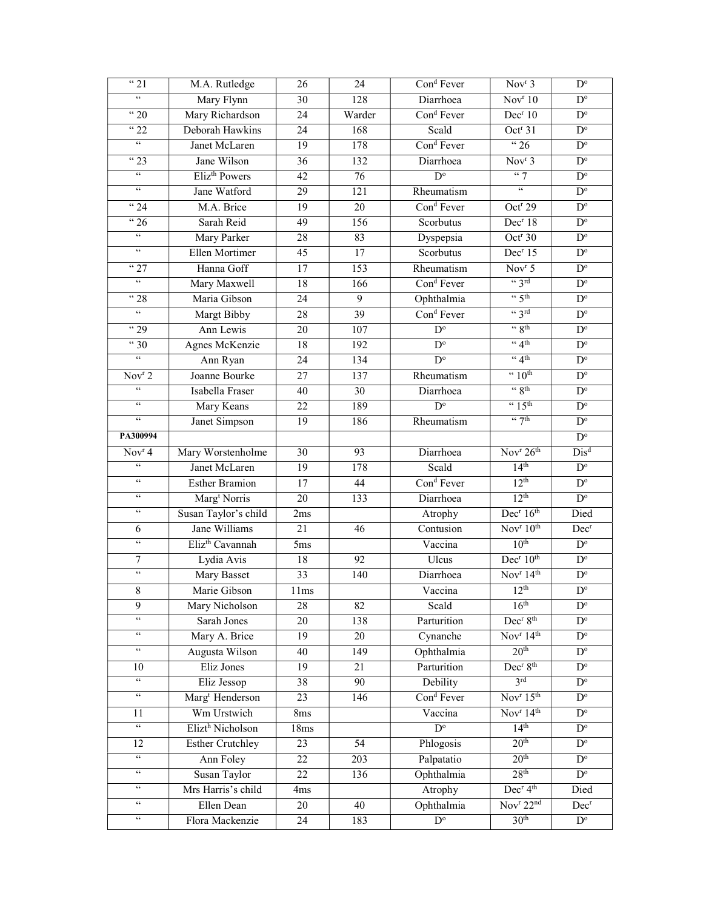| $\sqrt{3}$ 21                         | M.A. Rutledge                | 24<br>26        |                  | Con <sup>d</sup> Fever | Nov <sup>r</sup> 3                       | $D^{\circ}$             |
|---------------------------------------|------------------------------|-----------------|------------------|------------------------|------------------------------------------|-------------------------|
| 66                                    | Mary Flynn                   | $\overline{30}$ | 128              | Diarrhoea              | Nov <sup>r</sup> 10                      | $D^{\circ}$             |
| $\frac{1}{20}$                        | Mary Richardson              | 24              | Warder           | Cond Fever             | Dec <sup>r</sup> 10                      | $\overline{D^{\circ}}$  |
| <sup>"</sup> 22                       | Deborah Hawkins              | 24              | 168              | Scald                  | Oct <sup>r</sup> 31                      | $D^{\circ}$             |
| $\overline{\mathfrak{c}\mathfrak{c}}$ | Janet McLaren                | 19              | 178              | Con <sup>d</sup> Fever | $\frac{1}{26}$                           | $\mathbf{D}^{\text{o}}$ |
| $\sqrt{23}$                           | Jane Wilson                  | 36              | 132              | Diarrhoea              | Nov <sup>r</sup> 3                       | $D^{\circ}$             |
| $\epsilon\epsilon$                    | Eliz <sup>th</sup> Powers    | $\overline{42}$ | $\overline{76}$  | $\overline{D^{\circ}}$ | 447                                      | $\overline{D^o}$        |
| $\epsilon\epsilon$                    | Jane Watford                 | $\overline{29}$ | $\overline{121}$ | Rheumatism             | $\mathfrak{c}\mathfrak{c}$               | $\overline{D^{\circ}}$  |
| $\frac{1}{24}$                        | M.A. Brice                   | 19              | 20               | Con <sup>d</sup> Fever | Oct <sup>r</sup> 29                      | $\mathbf{D}^{\text{o}}$ |
| $\sqrt{26}$                           | Sarah Reid                   | 49              | 156              | Scorbutus              | Dec <sup>r</sup> 18                      | $D^{\rm o}$             |
| $\epsilon\epsilon$                    | Mary Parker                  | 28              | 83               | Dyspepsia              | Oct <sup>r</sup> 30                      | $\mathbf{D}^{\text{o}}$ |
| $\epsilon\epsilon$                    | Ellen Mortimer               | 45              | $\overline{17}$  | Scorbutus              | Dec <sup>r</sup> 15                      | $\overline{D^{\circ}}$  |
| $\sqrt{27}$                           | Hanna Goff                   | 17              | 153              | Rheumatism             | Nov <sup>r</sup> 5                       | $D^{\circ}$             |
| $\mathfrak{c}\mathfrak{c}$            | Mary Maxwell                 | 18              | 166              | Con <sup>d</sup> Fever | $\lq\lq$ 3rd                             | $\overline{D^o}$        |
| " 28                                  | Maria Gibson                 | 24              | 9                | Ophthalmia             | $\frac{1}{2}$ 5th                        | $D^{\circ}$             |
| $\epsilon\epsilon$                    | Margt Bibby                  | 28              | $\overline{39}$  | Con <sup>d</sup> Fever | $\lq$ 3rd                                | $\mathbf{D}^{\text{o}}$ |
| $\frac{1}{29}$                        | Ann Lewis                    | $\overline{20}$ | 107              | $\overline{D}^{\circ}$ | $\frac{1}{2}$                            | $\overline{D^o}$        |
| $\sqrt{30}$                           | Agnes McKenzie               | 18              | 192              | $\overline{D^{\circ}}$ | $\lq 4$ <sup>th</sup>                    | $\mathbf{D}^{\text{o}}$ |
| $\mathfrak{c}\mathfrak{c}$            | Ann Ryan                     | 24              | 134              | $\overline{D^{\circ}}$ | $\lq 4$ <sup>th</sup>                    | $\mathbf{D}^{\text{o}}$ |
| Nov <sup>r</sup> 2                    | Joanne Bourke                | $\overline{27}$ | 137              | Rheumatism             | $\cdot \cdot 10^{th}$                    | $\mathbf{D}^{\text{o}}$ |
| $\epsilon\,\epsilon$                  | Isabella Fraser              | 40              | 30               | Diarrhoea              | $\frac{1}{3}$                            | $\overline{D^{\circ}}$  |
| 66                                    | Mary Keans                   | $\overline{22}$ | 189              | $\overline{D^{\circ}}$ | $\cdot \cdot 15$ <sup>th</sup>           | $\overline{D^{\circ}}$  |
| $\mathfrak{c}\mathfrak{c}$            | Janet Simpson                | $\overline{19}$ | 186              | Rheumatism             | $\frac{1}{2}$                            | $\overline{D^o}$        |
| PA300994                              |                              |                 |                  |                        |                                          | $\mathbf{D}^{\text{o}}$ |
| Nov <sup>r</sup> 4                    | Mary Worstenholme            | 30              | 93               | Diarrhoea              | Nov <sup>r</sup> 26 <sup>th</sup>        | $Dis^d$                 |
| $\zeta\,\zeta$                        | Janet McLaren                | 19              | 178              | Scald                  | 14 <sup>th</sup>                         | $\mathbf{D}^{\text{o}}$ |
| $\epsilon\,\epsilon$                  | <b>Esther Bramion</b>        | 17              | 44               | Con <sup>d</sup> Fever | 12 <sup>th</sup>                         | $\mathbf{D}^{\text{o}}$ |
| $\epsilon\epsilon$                    | Marg <sup>t</sup> Norris     | 20              | 133              | Diarrhoea              | 12 <sup>th</sup>                         | $\overline{D^{\circ}}$  |
| $\epsilon\,\epsilon$                  | Susan Taylor's child         | 2ms             |                  | Atrophy                | Dec <sup>r</sup> 16 <sup>th</sup>        | Died                    |
| 6                                     | Jane Williams                | 21              | 46               | Contusion              | Nov $r10$ <sup>th</sup>                  | Dec <sup>r</sup>        |
| $\epsilon\epsilon$                    | Eliz <sup>th</sup> Cavannah  | 5ms             |                  | Vaccina                | 10 <sup>th</sup>                         | $\overline{D^o}$        |
| $\tau$                                | Lydia Avis                   | 18              | 92               | Ulcus                  | Dec <sup>r</sup> 10 <sup>th</sup>        | $\mathbf{D}^{\text{o}}$ |
| $\zeta\zeta$                          | Mary Basset                  | 33              | 140              | Diarrhoea              | Nov $r$ 14 <sup>th</sup>                 | $\overline{D^{\circ}}$  |
| 8                                     | Marie Gibson                 | 11ms            |                  | Vaccina                | 12 <sup>th</sup>                         | $\mathbf{D}^{\text{o}}$ |
| 9                                     | Mary Nicholson               | 28              | 82               | Scald                  | 16 <sup>th</sup>                         | $D^{\circ}$             |
| $\zeta\,\zeta$                        | Sarah Jones                  | 20              | 138              | Parturition            | Dec <sup>r</sup> 8 <sup>th</sup>         | $\mathbf{D}^{\text{o}}$ |
| $\epsilon\epsilon$                    | Mary A. Brice                | 19              | 20               | Cynanche               | Nov $r$ 14 <sup>th</sup>                 | $D^{\circ}$             |
| $\epsilon\epsilon$                    | Augusta Wilson               | 40              | 149              | Ophthalmia             | 20 <sup>th</sup>                         | $\mathbf{D}^{\text{o}}$ |
| 10                                    | Eliz Jones                   | 19              | 21               | Parturition            | Dec <sup>r</sup> 8 <sup>th</sup>         | $\overline{D^{\circ}}$  |
| $\overline{\mathfrak{c}\mathfrak{c}}$ | Eliz Jessop                  | 38              | 90               | Debility               | 3 <sup>rd</sup>                          | $\mathbf{D}^{\text{o}}$ |
| $\epsilon\epsilon$                    | Marg <sup>t</sup> Henderson  | 23              | 146              | Con <sup>d</sup> Fever | Nov <sup>r</sup> 15 <sup>th</sup>        | $\mathbf{D}^{\text{o}}$ |
| 11                                    | Wm Urstwich                  | 8ms             |                  | Vaccina                | Nov <sup>r</sup> 14 <sup>th</sup>        | $\mathbf{D}^{\text{o}}$ |
| $\epsilon\epsilon$                    | Elizt <sup>h</sup> Nicholson | 18ms            |                  | $D^{\circ}$            | 14 <sup>th</sup>                         | $\mathbf{D}^{\text{o}}$ |
| 12                                    | <b>Esther Crutchley</b>      | 23              | $\overline{54}$  | Phlogosis              | 20 <sup>th</sup>                         | $\overline{D^{\circ}}$  |
| $\epsilon\epsilon$                    | Ann Foley                    | 22              | 203              | Palpatatio             | 20 <sup>th</sup>                         | $\mathbf{D}^{\text{o}}$ |
| $\epsilon\epsilon$                    | Susan Taylor                 | 22              | 136              | Ophthalmia             | 28 <sup>th</sup>                         | $D^{\circ}$             |
| $\mathsf{c}\,\mathsf{c}$              | Mrs Harris's child           | 4ms             |                  | Atrophy                | Dec <sup>r</sup> 4 <sup>th</sup>         | Died                    |
| $\mathfrak{c}\mathfrak{c}$            | Ellen Dean                   | 20              | 40               | Ophthalmia             | $\overline{\text{Nov}^r 22^{\text{nd}}}$ | $Dec^{r}$               |
| $\epsilon\epsilon$                    | Flora Mackenzie              | 24              | 183              | $D^{\circ}$            | 30 <sup>th</sup>                         | $\mathbf{D}^{\text{o}}$ |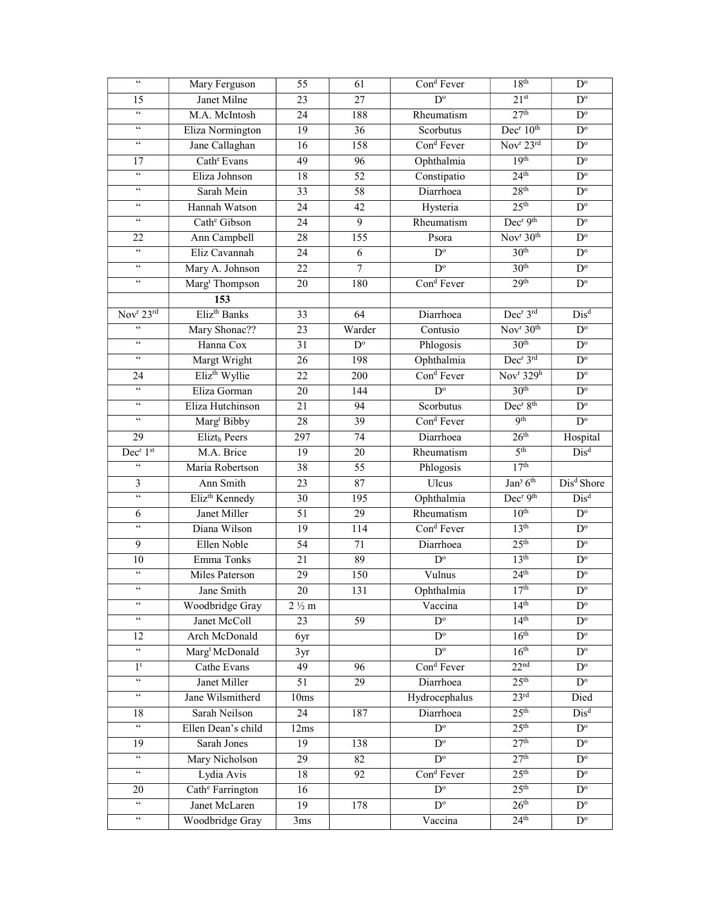| $\zeta\,\zeta$                             | Mary Ferguson                | 55               | 61                     | Con <sup>d</sup> Fever  | 18 <sup>th</sup>                                 | $\mathbf{D}^{\text{o}}$ |
|--------------------------------------------|------------------------------|------------------|------------------------|-------------------------|--------------------------------------------------|-------------------------|
| 15                                         | Janet Milne                  | $\overline{23}$  | $\overline{27}$        | $\overline{D^{\circ}}$  | 21 <sup>st</sup>                                 | $\mathbf{D}^{\text{o}}$ |
| $\epsilon\,\epsilon$                       | M.A. McIntosh                | 24               | 188                    | Rheumatism              | 27 <sup>th</sup>                                 | $\overline{D^o}$        |
| $\boldsymbol{\zeta} \, \boldsymbol{\zeta}$ | Eliza Normington             | 19               | 36                     | Scorbutus               | Dec <sup>r</sup> 10 <sup>th</sup>                | $\mathbf{D}^{\text{o}}$ |
| $\epsilon\,\epsilon$                       | Jane Callaghan               | 16               | 158                    | Cond Fever              | Nov <sup>r</sup> 23rd                            | $\mathbf{D}^{\text{o}}$ |
| 17                                         | Cath <sup>e</sup> Evans      | 49               | 96                     | Ophthalmia              | 19 <sup>th</sup>                                 | $\mathbf{D}^{\text{o}}$ |
| $\epsilon\epsilon$                         | Eliza Johnson                | $\overline{18}$  | $\overline{52}$        | Constipatio             | 24 <sup>th</sup>                                 | $\mathbf{D}^{\text{o}}$ |
| $\boldsymbol{\zeta} \, \boldsymbol{\zeta}$ | Sarah Mein                   | $\overline{33}$  | $\overline{58}$        | Diarrhoea               | 28 <sup>th</sup>                                 | $\overline{D^{\circ}}$  |
| $\epsilon\,\epsilon$                       | Hannah Watson                | 24               | 42                     | Hysteria                | 25 <sup>th</sup>                                 | $\mathbf{D}^{\text{o}}$ |
| $\epsilon\,\epsilon$                       | Cath <sup>e</sup> Gibson     | 24               | $\overline{9}$         | Rheumatism              | Dec <sup>r</sup> 9 <sup>th</sup>                 | $\mathbf{D}^{\text{o}}$ |
| 22                                         | Ann Campbell                 | 28               | 155                    | Psora                   | Nov <sup>r</sup> 30 <sup>th</sup>                | $\mathbf{D}^{\text{o}}$ |
| $\epsilon\,\epsilon$                       | Eliz Cavannah                | 24               | 6                      | $D^{\circ}$             | 30 <sup>th</sup>                                 | $\overline{D^{\circ}}$  |
| $\epsilon\,\epsilon$                       | Mary A. Johnson              | 22               | $\overline{7}$         | $D^{\circ}$             | 30 <sup>th</sup>                                 | $\overline{D^{\circ}}$  |
| $\zeta\,\zeta$                             | Marg <sup>t</sup> Thompson   | 20               | 180                    | Con <sup>d</sup> Fever  | 29 <sup>th</sup>                                 | $\overline{D^o}$        |
|                                            | 153                          |                  |                        |                         |                                                  |                         |
| Nov <sup>r</sup> 23rd                      | Eliz <sup>th</sup> Banks     | 33               | 64                     | Diarrhoea               | Dec <sup>r</sup> 3rd                             | $Dis^d$                 |
| $\zeta\,\zeta$                             | Mary Shonac??                | $\overline{23}$  | Warder                 | Contusio                | Nov <sup>r</sup> 30 <sup>th</sup>                | $\overline{D^{\circ}}$  |
| $\epsilon\,\epsilon$                       | Hanna Cox                    | 31               | $\overline{D^{\circ}}$ | Phlogosis               | 30 <sup>th</sup>                                 | $\mathbf{D}^{\text{o}}$ |
| $\epsilon\epsilon$                         | Margt Wright                 | 26               | 198                    | Ophthalmia              | Dec <sup>r</sup> 3rd                             | $\overline{D^{\circ}}$  |
| 24                                         | Eliz <sup>th</sup> Wyllie    | 22               | 200                    | Con <sup>d</sup> Fever  | Nov <sup>r</sup> $329h$                          | $\mathbf{D}^{\text{o}}$ |
| $\epsilon\epsilon$                         | Eliza Gorman                 | 20               | 144                    | $D^{\circ}$             | 30 <sup>th</sup>                                 | $\overline{D^{\circ}}$  |
| 66                                         | Eliza Hutchinson             | 21               | 94                     | Scorbutus               | Dec <sup>r</sup> 8 <sup>th</sup>                 | $\overline{D^o}$        |
| $\epsilon\,\epsilon$                       | Marg <sup>t</sup> Bibby      | 28               | $\overline{39}$        | Con <sup>d</sup> Fever  | 9 <sup>th</sup>                                  | $D^{\circ}$             |
| 29                                         | Elizth Peers                 | 297              | 74                     | Diarrhoea               | 26 <sup>th</sup>                                 | Hospital                |
| Dec <sup>r</sup> 1st                       | M.A. Brice                   | $\overline{19}$  | $\overline{20}$        | Rheumatism              | 5 <sup>th</sup>                                  | $Dis^d$                 |
| $\zeta\,\zeta$                             | Maria Robertson              | 38               | 55                     | Phlogosis               | 17 <sup>th</sup>                                 |                         |
| $\mathfrak{Z}$                             | Ann Smith                    | 23               | 87                     | Ulcus                   | $\overline{\text{Jan}^{\text{y}} 6^{\text{th}}}$ | Dis <sup>d</sup> Shore  |
| 66                                         | Eliz <sup>th</sup> Kennedy   | 30               | 195                    | Ophthalmia              | Dec <sup>r</sup> 9 <sup>th</sup>                 | $Dis^d$                 |
| 6                                          | Janet Miller                 | 51               | 29                     | Rheumatism              | 10 <sup>th</sup>                                 | $\overline{D^{\circ}}$  |
| $\epsilon\,\epsilon$                       | Diana Wilson                 | 19               | 114                    | Cond Fever              | 13 <sup>th</sup>                                 | $\mathbf{D}^{\text{o}}$ |
| 9                                          | Ellen Noble                  | 54               | 71                     | Diarrhoea               | 25 <sup>th</sup>                                 | $\mathbf{D}^{\text{o}}$ |
| $10\,$                                     | Emma Tonks                   | 21               | 89                     | $D^{\circ}$             | 13 <sup>th</sup>                                 | $\mathbf{D}^{\text{o}}$ |
| $\zeta\,\zeta$                             | Miles Paterson               | 29               | 150                    | Vulnus                  | 24 <sup>th</sup>                                 | $\overline{D^o}$        |
| $\zeta\,\zeta$                             | Jane Smith                   | $20\,$           | 131                    | Ophthalmia              | 17 <sup>th</sup>                                 | $\mathbf{D}^{\text{o}}$ |
| $\zeta\,\zeta$                             | Woodbridge Gray              | $2\frac{1}{2}$ m |                        | Vaccina                 | 14 <sup>th</sup>                                 | $D^{\circ}$             |
| $\zeta\,\zeta$                             | Janet McColl                 | 23               | 59                     | $D^{\circ}$             | 14 <sup>th</sup>                                 | $D^{\circ}$             |
| 12                                         | Arch McDonald                | 6yr              |                        | $D^{\circ}$             | 16 <sup>th</sup>                                 | $D^{\circ}$             |
| $\epsilon\epsilon$                         | Marg <sup>t</sup> McDonald   | 3yr              |                        | $\overline{D^{\circ}}$  | 16 <sup>th</sup>                                 | $\mathbf{D}^{\text{o}}$ |
| 1 <sup>t</sup>                             | Cathe Evans                  | 49               | 96                     | Con <sup>d</sup> Fever  | 22 <sup>nd</sup>                                 | $\overline{D^{\circ}}$  |
| $\overline{\mathfrak{c}\mathfrak{c}}$      | Janet Miller                 | 51               | 29                     | Diarrhoea               | 25 <sup>th</sup>                                 | $\mathbf{D}^{\text{o}}$ |
| $\epsilon\epsilon$                         | Jane Wilsmitherd             | 10ms             |                        | Hydrocephalus           | 23 <sup>rd</sup>                                 | Died                    |
| 18                                         | Sarah Neilson                | 24               | 187                    | Diarrhoea               | 25 <sup>th</sup>                                 | $Dis^d$                 |
| $\epsilon\,\epsilon$                       | Ellen Dean's child           | 12ms             |                        | $D^{\circ}$             | 25 <sup>th</sup>                                 | $D^{\circ}$             |
| 19                                         | Sarah Jones                  | 19               | 138                    | $D^{\circ}$             | 27 <sup>th</sup>                                 | $\mathbf{D}^{\text{o}}$ |
| $\zeta\,\zeta$                             | Mary Nicholson               | 29               | 82                     | $\mathbf{D}^{\text{o}}$ | 27 <sup>th</sup>                                 | $D^{\circ}$             |
| $\mathsf{cc}$                              | Lydia Avis                   | 18               | 92                     | Con <sup>d</sup> Fever  | 25 <sup>th</sup>                                 | $D^{\circ}$             |
| 20                                         | Cath <sup>e</sup> Farrington | 16               |                        | $D^{\circ}$             | 25 <sup>th</sup>                                 | $\mathbf{D}^{\text{o}}$ |
| $\epsilon\epsilon$                         | Janet McLaren                | 19               | 178                    | $\overline{D^{\circ}}$  | 26 <sup>th</sup>                                 | $\overline{D^{\circ}}$  |
| $\mathfrak{c}\mathfrak{c}$                 | Woodbridge Gray              | 3ms              |                        | Vaccina                 | 24 <sup>th</sup>                                 | $D^{\circ}$             |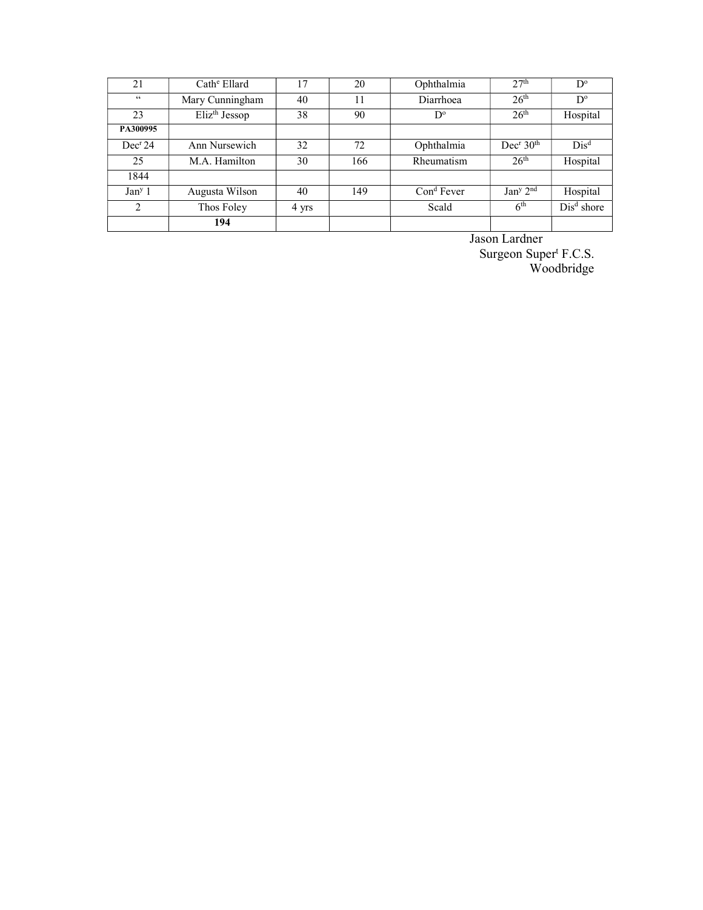| 21                  | $Cathe$ Ellard            | 17    | 20  | Ophthalmia   | 2.7 <sup>th</sup>                 | $D^{\circ}$  |
|---------------------|---------------------------|-------|-----|--------------|-----------------------------------|--------------|
| $\epsilon\epsilon$  | Mary Cunningham           | 40    | 11  | Diarrhoea    | 26 <sup>th</sup>                  | $D^{\circ}$  |
| 23                  | Eliz <sup>th</sup> Jessop | 38    | 90  | D°           | 26 <sup>th</sup>                  | Hospital     |
| PA300995            |                           |       |     |              |                                   |              |
| Dec <sup>r</sup> 24 | Ann Nursewich             | 32    | 72  | Ophthalmia   | Dec <sup>r</sup> 30 <sup>th</sup> | $Dis^d$      |
| 25                  | M.A. Hamilton             | 30    | 166 | Rheumatism   | 26 <sup>th</sup>                  | Hospital     |
| 1844                |                           |       |     |              |                                   |              |
| Jan <sup>y</sup> 1  | Augusta Wilson            | 40    | 149 | $Cond$ Fever | Jan <sup>y</sup> 2 <sup>nd</sup>  | Hospital     |
| 2                   | Thos Foley                | 4 yrs |     | Scald        | 6 <sup>th</sup>                   | $Disd$ shore |
|                     | 194                       |       |     |              |                                   |              |

Jason Lardner

Surgeon Super<sup>t</sup> F.C.S. Woodbridge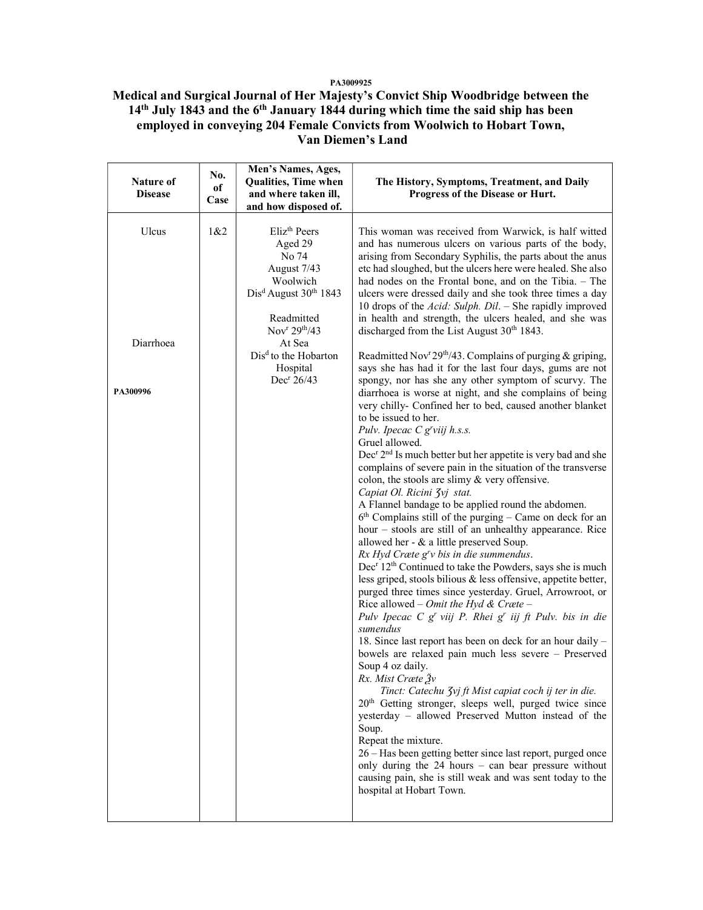## PA3009925

Medical and Surgical Journal of Her Majesty's Convict Ship Woodbridge between the 14<sup>th</sup> July 1843 and the 6<sup>th</sup> January 1844 during which time the said ship has been employed in conveying 204 Female Convicts from Woolwich to Hobart Town, Van Diemen's Land

| Nature of<br><b>Disease</b>    | No.<br>оf<br>Case | Men's Names, Ages,<br>Qualities, Time when<br>and where taken ill,<br>and how disposed of.                                                                                                                                           | The History, Symptoms, Treatment, and Daily<br>Progress of the Disease or Hurt.                                                                                                                                                                                                                                                                                                                                                                                                                                                                                                                                                                                                                                                                                                                                                                                                                                                                                                                                                                                                                                                                                                                                                                                                                                                                                                                                                                                                                                                                                                                                                                                                                                                                                                                                                                                                                                                                                                                                                                                                                                                                                                                                    |
|--------------------------------|-------------------|--------------------------------------------------------------------------------------------------------------------------------------------------------------------------------------------------------------------------------------|--------------------------------------------------------------------------------------------------------------------------------------------------------------------------------------------------------------------------------------------------------------------------------------------------------------------------------------------------------------------------------------------------------------------------------------------------------------------------------------------------------------------------------------------------------------------------------------------------------------------------------------------------------------------------------------------------------------------------------------------------------------------------------------------------------------------------------------------------------------------------------------------------------------------------------------------------------------------------------------------------------------------------------------------------------------------------------------------------------------------------------------------------------------------------------------------------------------------------------------------------------------------------------------------------------------------------------------------------------------------------------------------------------------------------------------------------------------------------------------------------------------------------------------------------------------------------------------------------------------------------------------------------------------------------------------------------------------------------------------------------------------------------------------------------------------------------------------------------------------------------------------------------------------------------------------------------------------------------------------------------------------------------------------------------------------------------------------------------------------------------------------------------------------------------------------------------------------------|
| Ulcus<br>Diarrhoea<br>PA300996 | 1&82              | Eliz <sup>th</sup> Peers<br>Aged 29<br>No 74<br>August 7/43<br>Woolwich<br>$Disd August 30th 1843$<br>Readmitted<br>Nov <sup>r</sup> $29th/43$<br>At Sea<br>Dis <sup>d</sup> to the Hobarton<br>Hospital<br>Dec <sup>r</sup> $26/43$ | This woman was received from Warwick, is half witted<br>and has numerous ulcers on various parts of the body,<br>arising from Secondary Syphilis, the parts about the anus<br>etc had sloughed, but the ulcers here were healed. She also<br>had nodes on the Frontal bone, and on the Tibia. $-$ The<br>ulcers were dressed daily and she took three times a day<br>10 drops of the Acid: Sulph. Dil. - She rapidly improved<br>in health and strength, the ulcers healed, and she was<br>discharged from the List August 30 <sup>th</sup> 1843.<br>Readmitted Nov <sup>r</sup> 29 <sup>th</sup> /43. Complains of purging & griping,<br>says she has had it for the last four days, gums are not<br>spongy, nor has she any other symptom of scurvy. The<br>diarrhoea is worse at night, and she complains of being<br>very chilly- Confined her to bed, caused another blanket<br>to be issued to her.<br>Pulv. Ipecac C g'viij h.s.s.<br>Gruel allowed.<br>Dec <sup>r</sup> 2 <sup>nd</sup> Is much better but her appetite is very bad and she<br>complains of severe pain in the situation of the transverse<br>colon, the stools are slimy $&$ very offensive.<br>Capiat Ol. Ricini 3vj stat.<br>A Flannel bandage to be applied round the abdomen.<br>$6th$ Complains still of the purging – Came on deck for an<br>hour – stools are still of an unhealthy appearance. Rice<br>allowed her - & a little preserved Soup.<br>$Rx$ Hyd Cræte $grv$ bis in die summendus.<br>Dec <sup>r</sup> 12 <sup>th</sup> Continued to take the Powders, says she is much<br>less griped, stools bilious & less offensive, appetite better,<br>purged three times since yesterday. Gruel, Arrowroot, or<br>Rice allowed – Omit the Hyd & Cræte –<br>Pulv Ipecac C g' viij P. Rhei g' iij ft Pulv. bis in die<br>sumendus<br>18. Since last report has been on deck for an hour daily -<br>bowels are relaxed pain much less severe - Preserved<br>Soup 4 oz daily.<br>Rx. Mist Cræte $\tilde{g}_v$<br>Tinct: Catechu Zvj ft Mist capiat coch ij ter in die.<br>20 <sup>th</sup> Getting stronger, sleeps well, purged twice since<br>yesterday - allowed Preserved Mutton instead of the<br>Soup.<br>Repeat the mixture. |
|                                |                   |                                                                                                                                                                                                                                      | 26 – Has been getting better since last report, purged once<br>only during the 24 hours - can bear pressure without<br>causing pain, she is still weak and was sent today to the<br>hospital at Hobart Town.                                                                                                                                                                                                                                                                                                                                                                                                                                                                                                                                                                                                                                                                                                                                                                                                                                                                                                                                                                                                                                                                                                                                                                                                                                                                                                                                                                                                                                                                                                                                                                                                                                                                                                                                                                                                                                                                                                                                                                                                       |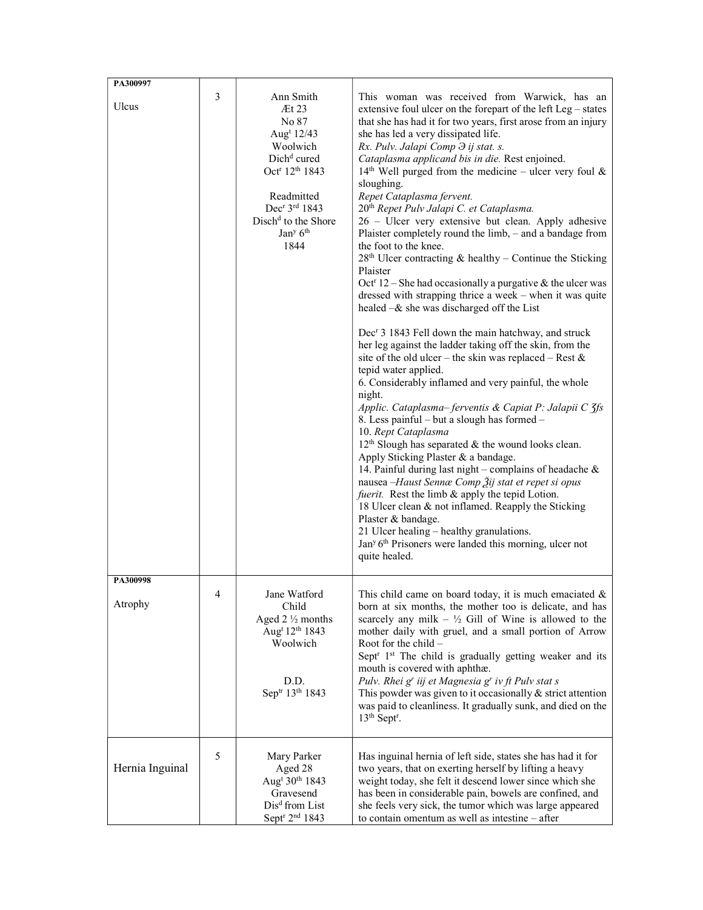| PA300997            |   |                                                                                                                                                                                                                                                          |                                                                                                                                                                                                                                                                                                                                                                                                                                                                                                                                                                                                                                                                                                                                                                                                                                                                                                                                                                                                                                                                                                                                                                                                                                                                                                                                                                                                                                                                                                                                                                                                                                                                                                                                                                                                                                               |
|---------------------|---|----------------------------------------------------------------------------------------------------------------------------------------------------------------------------------------------------------------------------------------------------------|-----------------------------------------------------------------------------------------------------------------------------------------------------------------------------------------------------------------------------------------------------------------------------------------------------------------------------------------------------------------------------------------------------------------------------------------------------------------------------------------------------------------------------------------------------------------------------------------------------------------------------------------------------------------------------------------------------------------------------------------------------------------------------------------------------------------------------------------------------------------------------------------------------------------------------------------------------------------------------------------------------------------------------------------------------------------------------------------------------------------------------------------------------------------------------------------------------------------------------------------------------------------------------------------------------------------------------------------------------------------------------------------------------------------------------------------------------------------------------------------------------------------------------------------------------------------------------------------------------------------------------------------------------------------------------------------------------------------------------------------------------------------------------------------------------------------------------------------------|
| Ulcus               | 3 | Ann Smith<br>Æt 23<br>No 87<br>Aug <sup>t</sup> $12/43$<br>Woolwich<br>Dich <sup>d</sup> cured<br>Oct <sup>r</sup> 12 <sup>th</sup> 1843<br>Readmitted<br>Dec <sup>r</sup> 3rd 1843<br>Disch <sup>d</sup> to the Shore<br>Jan <sup>y</sup> $6th$<br>1844 | This woman was received from Warwick, has an<br>extensive foul ulcer on the forepart of the left Leg - states<br>that she has had it for two years, first arose from an injury<br>she has led a very dissipated life.<br>Rx. Pulv. Jalapi Comp $\partial$ ij stat. s.<br>Cataplasma applicand bis in die. Rest enjoined.<br>14 <sup>th</sup> Well purged from the medicine – ulcer very foul $\&$<br>sloughing.<br>Repet Cataplasma fervent.<br>20th Repet Pulv Jalapi C. et Cataplasma.<br>26 - Ulcer very extensive but clean. Apply adhesive<br>Plaister completely round the limb, – and a bandage from<br>the foot to the knee.<br>$28th$ Ulcer contracting & healthy – Continue the Sticking<br>Plaister<br>Oct <sup><math>r</math></sup> 12 – She had occasionally a purgative & the ulcer was<br>dressed with strapping thrice a week - when it was quite<br>healed -& she was discharged off the List<br>Dec <sup>r</sup> 3 1843 Fell down the main hatchway, and struck<br>her leg against the ladder taking off the skin, from the<br>site of the old ulcer – the skin was replaced – Rest &<br>tepid water applied.<br>6. Considerably inflamed and very painful, the whole<br>night.<br>Applic. Cataplasma-ferventis & Capiat P: Jalapii C 3fs<br>8. Less painful - but a slough has formed -<br>10. Rept Cataplasma<br>12 <sup>th</sup> Slough has separated & the wound looks clean.<br>Apply Sticking Plaster & a bandage.<br>14. Painful during last night – complains of headache $\&$<br>nausea -Haust Sennæ Comp Žij stat et repet si opus<br>fuerit. Rest the limb & apply the tepid Lotion.<br>18 Ulcer clean & not inflamed. Reapply the Sticking<br>Plaster & bandage.<br>21 Ulcer healing - healthy granulations.<br>Jan <sup>y</sup> 6 <sup>th</sup> Prisoners were landed this morning, ulcer not<br>quite healed. |
| PA300998<br>Atrophy | 4 | Jane Watford<br>Child<br>Aged $2\frac{1}{2}$ months<br>Aug <sup>t</sup> 12 <sup>th</sup> 1843<br>Woolwich<br>D.D.<br>Sep <sup>tr</sup> 13 <sup>th</sup> 1843                                                                                             | This child came on board today, it is much emaciated $\&$<br>born at six months, the mother too is delicate, and has<br>scarcely any milk $ \frac{1}{2}$ Gill of Wine is allowed to the<br>mother daily with gruel, and a small portion of Arrow<br>Root for the child $-$<br>Sept <sup>r</sup> 1 <sup>st</sup> The child is gradually getting weaker and its<br>mouth is covered with aphthæ.<br>Pulv. Rhei g' iij et Magnesia g' iv ft Pulv stat s<br>This powder was given to it occasionally $&$ strict attention<br>was paid to cleanliness. It gradually sunk, and died on the<br>$13th$ Sept <sup>r</sup> .                                                                                                                                                                                                                                                                                                                                                                                                                                                                                                                                                                                                                                                                                                                                                                                                                                                                                                                                                                                                                                                                                                                                                                                                                            |
| Hernia Inguinal     | 5 | Mary Parker<br>Aged 28<br>Aug <sup>t</sup> 30 <sup>th</sup> 1843<br>Gravesend<br>Dis <sup>d</sup> from List<br>Sept <sup>r</sup> 2 <sup>nd</sup> 1843                                                                                                    | Has inguinal hernia of left side, states she has had it for<br>two years, that on exerting herself by lifting a heavy<br>weight today, she felt it descend lower since which she<br>has been in considerable pain, bowels are confined, and<br>she feels very sick, the tumor which was large appeared<br>to contain omentum as well as intestine - after                                                                                                                                                                                                                                                                                                                                                                                                                                                                                                                                                                                                                                                                                                                                                                                                                                                                                                                                                                                                                                                                                                                                                                                                                                                                                                                                                                                                                                                                                     |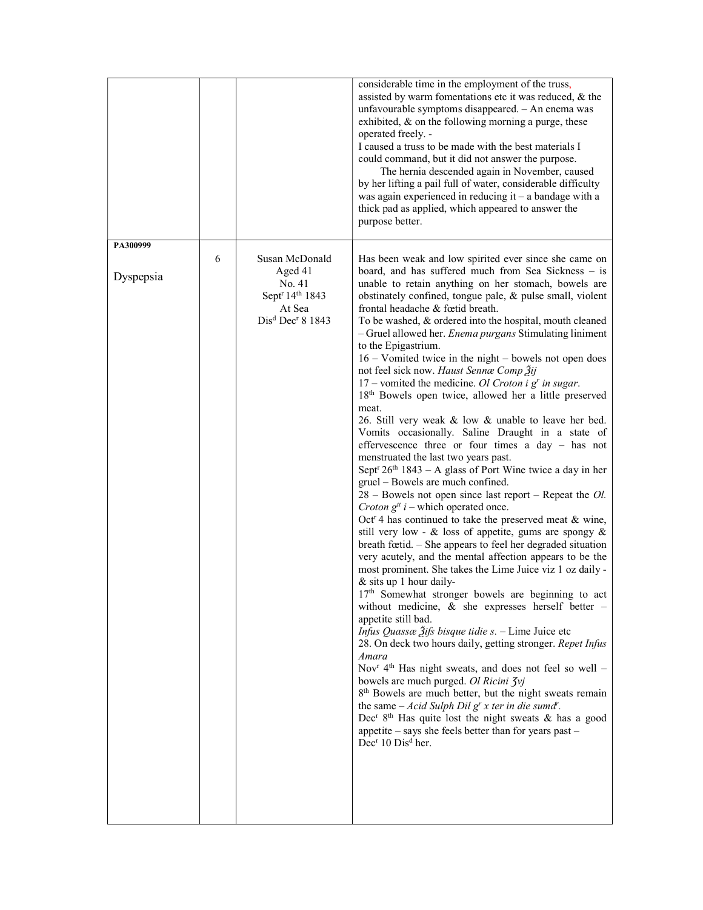|                       |   |                                                                                                                                      | considerable time in the employment of the truss,<br>assisted by warm fomentations etc it was reduced, & the<br>unfavourable symptoms disappeared. - An enema was<br>exhibited, $\&$ on the following morning a purge, these<br>operated freely. -<br>I caused a truss to be made with the best materials I<br>could command, but it did not answer the purpose.<br>The hernia descended again in November, caused<br>by her lifting a pail full of water, considerable difficulty<br>was again experienced in reducing it $-$ a bandage with a<br>thick pad as applied, which appeared to answer the<br>purpose better.                                                                                                                                                                                                                                                                                                                                                                                                                                                                                                                                                                                                                                                                                                                                                                                                                                                                                                                                                                                                                                                                                                                                                                                                                                                                                                                                                                                                                                                                                                                                                                              |
|-----------------------|---|--------------------------------------------------------------------------------------------------------------------------------------|-------------------------------------------------------------------------------------------------------------------------------------------------------------------------------------------------------------------------------------------------------------------------------------------------------------------------------------------------------------------------------------------------------------------------------------------------------------------------------------------------------------------------------------------------------------------------------------------------------------------------------------------------------------------------------------------------------------------------------------------------------------------------------------------------------------------------------------------------------------------------------------------------------------------------------------------------------------------------------------------------------------------------------------------------------------------------------------------------------------------------------------------------------------------------------------------------------------------------------------------------------------------------------------------------------------------------------------------------------------------------------------------------------------------------------------------------------------------------------------------------------------------------------------------------------------------------------------------------------------------------------------------------------------------------------------------------------------------------------------------------------------------------------------------------------------------------------------------------------------------------------------------------------------------------------------------------------------------------------------------------------------------------------------------------------------------------------------------------------------------------------------------------------------------------------------------------------|
| PA300999<br>Dyspepsia | 6 | Susan McDonald<br>Aged 41<br>No. 41<br>Sept <sup>r</sup> 14 <sup>th</sup> 1843<br>At Sea<br>Dis <sup>d</sup> Dec <sup>r</sup> 8 1843 | Has been weak and low spirited ever since she came on<br>board, and has suffered much from Sea Sickness $-$ is<br>unable to retain anything on her stomach, bowels are<br>obstinately confined, tongue pale, & pulse small, violent<br>frontal headache & fœtid breath.<br>To be washed, & ordered into the hospital, mouth cleaned<br>- Gruel allowed her. Enema purgans Stimulating liniment<br>to the Epigastrium.<br>16 – Vomited twice in the night – bowels not open does<br>not feel sick now. Haust Sennæ Comp Žij<br>17 – vomited the medicine. Ol Croton i $gr$ in sugar.<br>18th Bowels open twice, allowed her a little preserved<br>meat.<br>26. Still very weak & low & unable to leave her bed.<br>Vomits occasionally. Saline Draught in a state of<br>effervescence three or four times a day - has not<br>menstruated the last two years past.<br>Sept <sup>r</sup> $26th$ 1843 – A glass of Port Wine twice a day in her<br>gruel - Bowels are much confined.<br>$28$ – Bowels not open since last report – Repeat the <i>Ol</i> .<br>Croton $g^{tt}$ i – which operated once.<br>Oct <sup>r</sup> 4 has continued to take the preserved meat $\&$ wine,<br>still very low - $\&$ loss of appetite, gums are spongy $\&$<br>breath fœtid. - She appears to feel her degraded situation<br>very acutely, and the mental affection appears to be the<br>most prominent. She takes the Lime Juice viz 1 oz daily -<br>& sits up 1 hour daily-<br>$17th$ Somewhat stronger bowels are beginning to act<br>without medicine, & she expresses herself better -<br>appetite still bad.<br><i>Infus Quassæ <math>\tilde{2}</math>ifs bisque tidie s. - Lime Juice etc</i><br>28. On deck two hours daily, getting stronger. Repet Infus<br>Amara<br>Nov <sup>r</sup> 4 <sup>th</sup> Has night sweats, and does not feel so well -<br>bowels are much purged. Ol Ricini Jvj<br>8 <sup>th</sup> Bowels are much better, but the night sweats remain<br>the same $-Acid$ Sulph Dil g' x ter in die sumd''.<br>Dec <sup>r</sup> $8th$ Has quite lost the night sweats & has a good<br>appetite $-$ says she feels better than for years past $-$<br>Dec <sup>r</sup> 10 Dis <sup>d</sup> her. |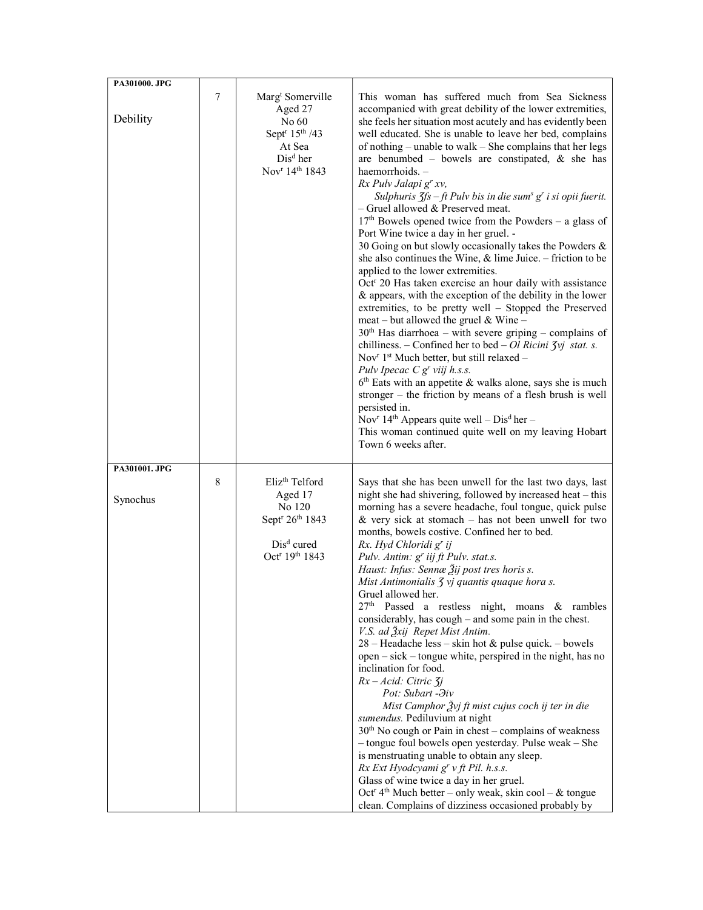| PA301000. JPG             |   |                                                                                                                                                                        |                                                                                                                                                                                                                                                                                                                                                                                                                                                                                                                                                                                                                                                                                                                                                                                                                                                                                                                                                                                                                                                                                                                                                                                                                                                                                                                                                                                                                                                                                                                                                                                                                     |
|---------------------------|---|------------------------------------------------------------------------------------------------------------------------------------------------------------------------|---------------------------------------------------------------------------------------------------------------------------------------------------------------------------------------------------------------------------------------------------------------------------------------------------------------------------------------------------------------------------------------------------------------------------------------------------------------------------------------------------------------------------------------------------------------------------------------------------------------------------------------------------------------------------------------------------------------------------------------------------------------------------------------------------------------------------------------------------------------------------------------------------------------------------------------------------------------------------------------------------------------------------------------------------------------------------------------------------------------------------------------------------------------------------------------------------------------------------------------------------------------------------------------------------------------------------------------------------------------------------------------------------------------------------------------------------------------------------------------------------------------------------------------------------------------------------------------------------------------------|
| Debility                  | 7 | Marg <sup>t</sup> Somerville<br>Aged 27<br>No 60<br>Sept <sup>r</sup> 15 <sup>th</sup> /43<br>At Sea<br>Dis <sup>d</sup> her<br>Nov <sup>r</sup> 14 <sup>th</sup> 1843 | This woman has suffered much from Sea Sickness<br>accompanied with great debility of the lower extremities,<br>she feels her situation most acutely and has evidently been<br>well educated. She is unable to leave her bed, complains<br>of nothing – unable to walk – She complains that her legs<br>are benumbed - bowels are constipated, $\&$ she has<br>haemorrhoids. -<br>Rx Pulv Jalapi g' xv,<br>Sulphuris $\zeta f s - f t$ Pulv bis in die sum <sup>s</sup> g <sup>r</sup> i si opii fuerit.<br>- Gruel allowed & Preserved meat.<br>$17th$ Bowels opened twice from the Powders – a glass of<br>Port Wine twice a day in her gruel. -<br>30 Going on but slowly occasionally takes the Powders &<br>she also continues the Wine, $\&$ lime Juice. – friction to be<br>applied to the lower extremities.<br>Oct <sup>r</sup> 20 Has taken exercise an hour daily with assistance<br>& appears, with the exception of the debility in the lower<br>extremities, to be pretty well - Stopped the Preserved<br>meat – but allowed the gruel & Wine –<br>$30th$ Has diarrhoea – with severe griping – complains of<br>chilliness. – Confined her to bed – Ol Ricini $\zeta$ <i>i</i> stat. s.<br>Nov <sup>r</sup> 1 <sup>st</sup> Much better, but still relaxed -<br>Pulv Ipecac $C g^{r}$ viij h.s.s.<br>$6th$ Eats with an appetite & walks alone, says she is much<br>stronger $-$ the friction by means of a flesh brush is well<br>persisted in.<br>Nov <sup>r</sup> 14 <sup>th</sup> Appears quite well – $Disd$ her –<br>This woman continued quite well on my leaving Hobart<br>Town 6 weeks after. |
| PA301001. JPG<br>Synochus | 8 | Eliz <sup>th</sup> Telford<br>Aged 17<br>No 120<br>Sept <sup>r</sup> 26 <sup>th</sup> 1843<br>Dis <sup>d</sup> cured<br>Oct <sup>r</sup> 19 <sup>th</sup> 1843         | Says that she has been unwell for the last two days, last<br>night she had shivering, followed by increased heat - this<br>morning has a severe headache, foul tongue, quick pulse<br>& very sick at stomach $-$ has not been unwell for two<br>months, bowels costive. Confined her to bed.<br>Rx. Hyd Chloridi g' ij<br>Pulv. Antim: g' iij ft Pulv. stat.s.<br>Haust: Infus: Sennæ Žij post tres horis s.<br>Mist Antimonialis 3 vj quantis quaque hora s.<br>Gruel allowed her.<br>27 <sup>th</sup><br>Passed a restless night, moans & rambles<br>considerably, has cough – and some pain in the chest.<br>V.S. ad Žxij Repet Mist Antim.<br>28 – Headache less – skin hot & pulse quick. – bowels<br>open – sick – tongue white, perspired in the night, has no<br>inclination for food.<br>$Rx - Acid$ : Citric $7i$<br>Pot: Subart - Hiv<br>Mist Camphor $\frac{3}{2}$ vj ft mist cujus coch ij ter in die<br>sumendus. Pediluvium at night<br>$30th$ No cough or Pain in chest – complains of weakness<br>- tongue foul bowels open yesterday. Pulse weak - She<br>is menstruating unable to obtain any sleep.<br>Rx Ext Hyodcyami g' v ft Pil. h.s.s.<br>Glass of wine twice a day in her gruel.<br>Oct <sup>r</sup> 4 <sup>th</sup> Much better – only weak, skin cool – & tongue<br>clean. Complains of dizziness occasioned probably by                                                                                                                                                                                                                                                                |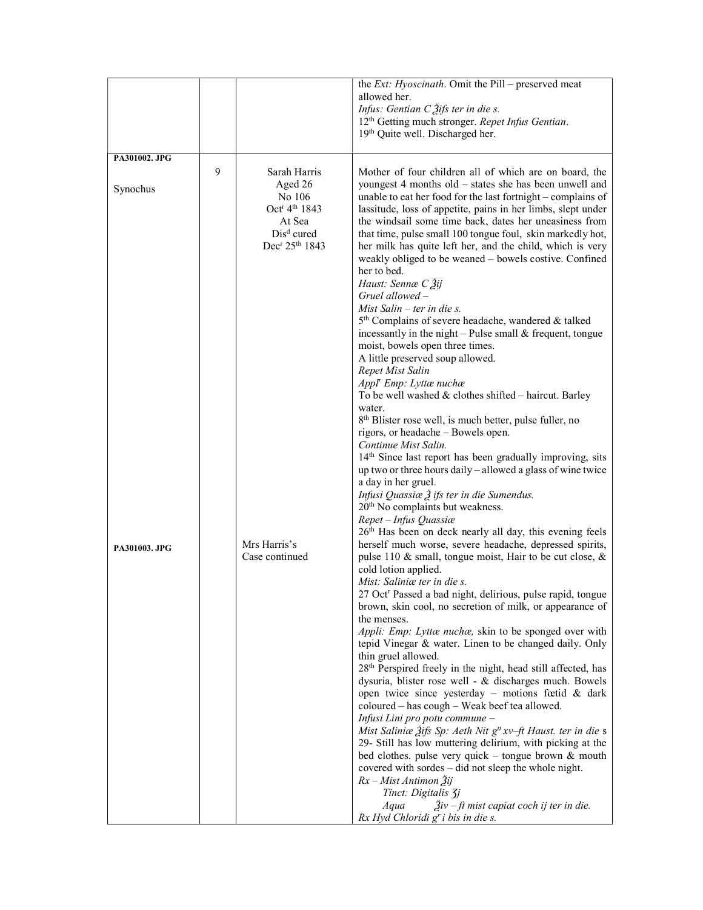|               |   |                                        | the Ext: Hyoscinath. Omit the Pill - preserved meat                                                                    |
|---------------|---|----------------------------------------|------------------------------------------------------------------------------------------------------------------------|
|               |   |                                        | allowed her.                                                                                                           |
|               |   |                                        | Infus: Gentian $C_2$ difs ter in die s.                                                                                |
|               |   |                                        | 12 <sup>th</sup> Getting much stronger. Repet Infus Gentian.                                                           |
|               |   |                                        | 19th Quite well. Discharged her.                                                                                       |
|               |   |                                        |                                                                                                                        |
| PA301002. JPG |   |                                        |                                                                                                                        |
|               | 9 | Sarah Harris                           | Mother of four children all of which are on board, the                                                                 |
| Synochus      |   | Aged 26<br>No 106                      | youngest 4 months old – states she has been unwell and<br>unable to eat her food for the last fortnight – complains of |
|               |   | Oct <sup>r</sup> 4 <sup>th</sup> 1843  | lassitude, loss of appetite, pains in her limbs, slept under                                                           |
|               |   | At Sea                                 | the windsail some time back, dates her uneasiness from                                                                 |
|               |   | $Disd$ cured                           | that time, pulse small 100 tongue foul, skin markedly hot,                                                             |
|               |   | Dec <sup>r</sup> 25 <sup>th</sup> 1843 | her milk has quite left her, and the child, which is very                                                              |
|               |   |                                        | weakly obliged to be weaned - bowels costive. Confined                                                                 |
|               |   |                                        | her to bed.                                                                                                            |
|               |   |                                        | Haust: Sennæ C Ѯij<br>$Gruel$ allowed $-$                                                                              |
|               |   |                                        | Mist Salin $-$ ter in die s.                                                                                           |
|               |   |                                        | 5 <sup>th</sup> Complains of severe headache, wandered & talked                                                        |
|               |   |                                        | incessantly in the night $-$ Pulse small & frequent, tongue                                                            |
|               |   |                                        | moist, bowels open three times.                                                                                        |
|               |   |                                        | A little preserved soup allowed.                                                                                       |
|               |   |                                        | Repet Mist Salin                                                                                                       |
|               |   |                                        | Appl <sup>r</sup> Emp: Lyttænuchæ<br>To be well washed $&$ clothes shifted - haircut. Barley                           |
|               |   |                                        | water.                                                                                                                 |
|               |   |                                        | 8 <sup>th</sup> Blister rose well, is much better, pulse fuller, no                                                    |
|               |   |                                        | rigors, or headache - Bowels open.                                                                                     |
|               |   |                                        | Continue Mist Salin.                                                                                                   |
|               |   |                                        | 14th Since last report has been gradually improving, sits                                                              |
|               |   |                                        | up two or three hours daily - allowed a glass of wine twice                                                            |
|               |   |                                        | a day in her gruel.<br>Infusi Quassiæ $\tilde{\beta}$ ifs ter in die Sumendus.                                         |
|               |   |                                        | 20 <sup>th</sup> No complaints but weakness.                                                                           |
|               |   |                                        | Repet - Infus Quassiæ                                                                                                  |
|               |   |                                        | 26 <sup>th</sup> Has been on deck nearly all day, this evening feels                                                   |
| PA301003. JPG |   | Mrs Harris's                           | herself much worse, severe headache, depressed spirits,                                                                |
|               |   | Case continued                         | pulse 110 & small, tongue moist, Hair to be cut close, &                                                               |
|               |   |                                        | cold lotion applied.<br>Mist: Saliniæ ter in die s.                                                                    |
|               |   |                                        | 27 Oct <sup>r</sup> Passed a bad night, delirious, pulse rapid, tongue                                                 |
|               |   |                                        | brown, skin cool, no secretion of milk, or appearance of                                                               |
|               |   |                                        | the menses.                                                                                                            |
|               |   |                                        | Appli: Emp: Lyttæ nuchæ, skin to be sponged over with                                                                  |
|               |   |                                        | tepid Vinegar & water. Linen to be changed daily. Only                                                                 |
|               |   |                                        | thin gruel allowed.<br>28 <sup>th</sup> Perspired freely in the night, head still affected, has                        |
|               |   |                                        | dysuria, blister rose well - & discharges much. Bowels                                                                 |
|               |   |                                        | open twice since yesterday - motions fœtid & dark                                                                      |
|               |   |                                        | coloured - has cough - Weak beef tea allowed.                                                                          |
|               |   |                                        | Infusi Lini pro potu commune -                                                                                         |
|               |   |                                        | Mist Saliniæ Žifs Sp: Aeth Nit g <sup>tt</sup> xv-ft Haust. ter in die s                                               |
|               |   |                                        | 29- Still has low muttering delirium, with picking at the<br>bed clothes. pulse very quick - tongue brown $\&$ mouth   |
|               |   |                                        | covered with sordes - did not sleep the whole night.                                                                   |
|               |   |                                        | $Rx$ – Mist Antimon $\tilde{2}^{ij}$                                                                                   |
|               |   |                                        | Tinct: Digitalis 3j                                                                                                    |
|               |   |                                        | $\tilde{A}iv$ – ft mist capiat coch ij ter in die.<br>Aqua                                                             |
|               |   |                                        | $Rx$ Hyd Chloridi $gr$ i bis in die s.                                                                                 |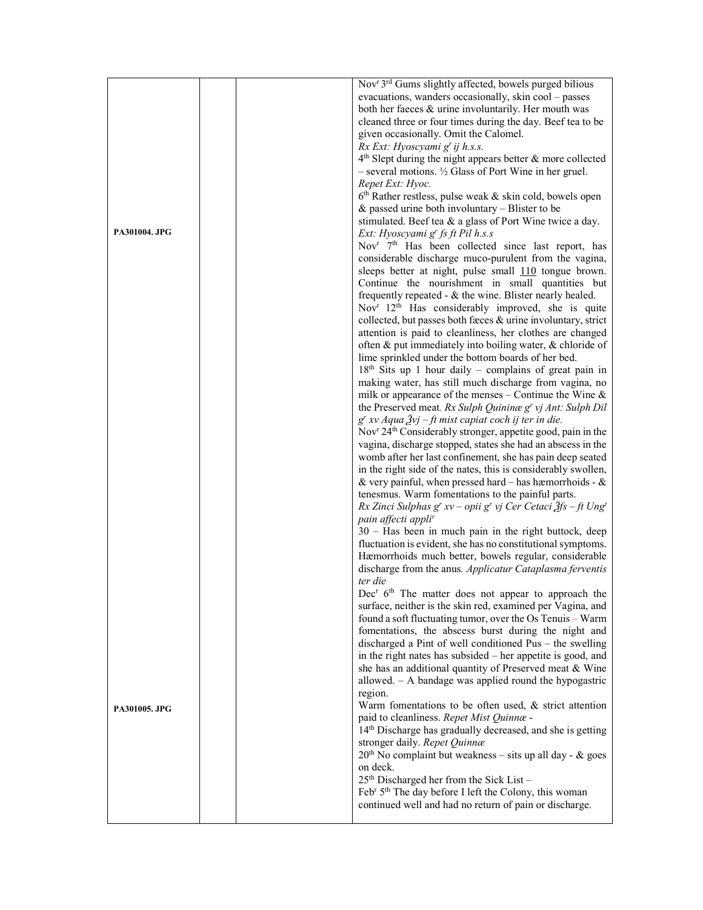|               |  | Nov <sup>r</sup> 3 <sup>rd</sup> Gums slightly affected, bowels purged bilious                                            |
|---------------|--|---------------------------------------------------------------------------------------------------------------------------|
|               |  | evacuations, wanders occasionally, skin cool - passes                                                                     |
|               |  | both her faeces & urine involuntarily. Her mouth was                                                                      |
|               |  | cleaned three or four times during the day. Beef tea to be                                                                |
|               |  | given occasionally. Omit the Calomel.                                                                                     |
|               |  | Rx Ext: Hyoscyami g' ij h.s.s.                                                                                            |
|               |  | $4th$ Slept during the night appears better & more collected                                                              |
|               |  | $-$ several motions. $\frac{1}{2}$ Glass of Port Wine in her gruel.                                                       |
|               |  | Repet Ext: Hyoc.                                                                                                          |
|               |  | $6th$ Rather restless, pulse weak & skin cold, bowels open                                                                |
|               |  | & passed urine both involuntary $-$ Blister to be                                                                         |
|               |  | stimulated. Beef tea & a glass of Port Wine twice a day.                                                                  |
| PA301004. JPG |  | Ext: Hyoscyami g' fs ft Pil h.s.s                                                                                         |
|               |  | Nov <sup>r</sup> 7 <sup>th</sup> Has been collected since last report, has                                                |
|               |  | considerable discharge muco-purulent from the vagina,                                                                     |
|               |  | sleeps better at night, pulse small 110 tongue brown.                                                                     |
|               |  | Continue the nourishment in small quantities but                                                                          |
|               |  | frequently repeated $-$ & the wine. Blister nearly healed.                                                                |
|               |  | Nov <sup>r</sup> 12 <sup>th</sup> Has considerably improved, she is quite                                                 |
|               |  | collected, but passes both fæces & urine involuntary, strict<br>attention is paid to cleanliness, her clothes are changed |
|               |  | often & put immediately into boiling water, & chloride of                                                                 |
|               |  | lime sprinkled under the bottom boards of her bed.                                                                        |
|               |  | $18th$ Sits up 1 hour daily – complains of great pain in                                                                  |
|               |  | making water, has still much discharge from vagina, no                                                                    |
|               |  | milk or appearance of the menses – Continue the Wine $\&$                                                                 |
|               |  | the Preserved meat. Rx Sulph Quininae g' vj Ant: Sulph Dil                                                                |
|               |  | $g^{r}$ xv Aqua $2\gamma j$ - ft mist capiat coch ij ter in die.                                                          |
|               |  | Nov <sup>r</sup> 24 <sup>th</sup> Considerably stronger, appetite good, pain in the                                       |
|               |  | vagina, discharge stopped, states she had an abscess in the                                                               |
|               |  | womb after her last confinement, she has pain deep seated                                                                 |
|               |  | in the right side of the nates, this is considerably swollen,                                                             |
|               |  | & very painful, when pressed hard $-$ has hæmorrhoids - &                                                                 |
|               |  | tenesmus. Warm fomentations to the painful parts.                                                                         |
|               |  | Rx Zinci Sulphas g' xv – opii g' vj Cer Cetaci $\tilde{\mathcal{J}}$ fs – ft Ung <sup>t</sup>                             |
|               |  | pain affecti appli <sup>r</sup>                                                                                           |
|               |  | 30 - Has been in much pain in the right buttock, deep                                                                     |
|               |  | fluctuation is evident, she has no constitutional symptoms.                                                               |
|               |  | Hæmorrhoids much better, bowels regular, considerable                                                                     |
|               |  | discharge from the anus. Applicatur Cataplasma ferventis                                                                  |
|               |  | ter die                                                                                                                   |
|               |  | Dec <sup>r</sup> 6 <sup>th</sup> The matter does not appear to approach the                                               |
|               |  | surface, neither is the skin red, examined per Vagina, and                                                                |
|               |  | found a soft fluctuating tumor, over the Os Tenuis - Warm<br>fomentations, the abscess burst during the night and         |
|               |  | discharged a Pint of well conditioned Pus - the swelling                                                                  |
|               |  | in the right nates has subsided – her appetite is good, and                                                               |
|               |  | she has an additional quantity of Preserved meat & Wine                                                                   |
|               |  | allowed. $-$ A bandage was applied round the hypogastric                                                                  |
|               |  | region.                                                                                                                   |
|               |  | Warm fomentations to be often used, & strict attention                                                                    |
| PA301005. JPG |  | paid to cleanliness. Repet Mist Quinnæ -                                                                                  |
|               |  | 14th Discharge has gradually decreased, and she is getting                                                                |
|               |  | stronger daily. Repet Quinnæ                                                                                              |
|               |  | $20th$ No complaint but weakness – sits up all day - & goes                                                               |
|               |  | on deck.                                                                                                                  |
|               |  | $25^{\text{th}}$ Discharged her from the Sick List-                                                                       |
|               |  | Feb <sup>r</sup> 5 <sup>th</sup> The day before I left the Colony, this woman                                             |
|               |  | continued well and had no return of pain or discharge.                                                                    |
|               |  |                                                                                                                           |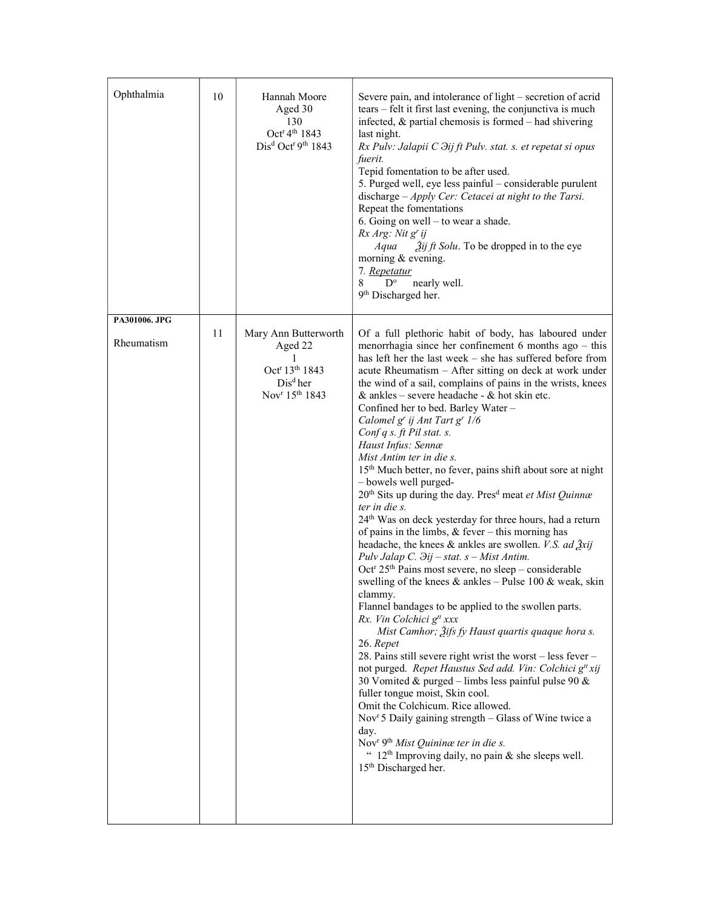| Ophthalmia                  | 10 | Hannah Moore<br>Aged 30<br>130<br>Oct <sup>r</sup> 4 <sup>th</sup> 1843<br>Dis <sup>d</sup> Oct <sup>r 9th</sup> 1843                  | Severe pain, and intolerance of light - secretion of acrid<br>tears – felt it first last evening, the conjunctiva is much<br>infected, $\&$ partial chemosis is formed – had shivering<br>last night.<br>Rx Pulv: Jalapii C $\partial$ ij ft Pulv. stat. s. et repetat si opus<br>fuerit.<br>Tepid fomentation to be after used.<br>5. Purged well, eye less painful - considerable purulent<br>discharge $-A$ <i>pply Cer: Cetacei at night to the Tarsi.</i><br>Repeat the fomentations<br>6. Going on well – to wear a shade.<br>Rx Arg: Nit g' ij<br>Aqua<br>$2$ ij ft Solu. To be dropped in to the eye<br>morning & evening.<br>7. Repetatur<br>8<br>$D^{\circ}$<br>nearly well.<br>9 <sup>th</sup> Discharged her.                                                                                                                                                                                                                                                                                                                                                                                                                                                                                                                                                                                                                                                                                                                                                                                                                                                                                                                                                                                                                                                                                                                      |
|-----------------------------|----|----------------------------------------------------------------------------------------------------------------------------------------|------------------------------------------------------------------------------------------------------------------------------------------------------------------------------------------------------------------------------------------------------------------------------------------------------------------------------------------------------------------------------------------------------------------------------------------------------------------------------------------------------------------------------------------------------------------------------------------------------------------------------------------------------------------------------------------------------------------------------------------------------------------------------------------------------------------------------------------------------------------------------------------------------------------------------------------------------------------------------------------------------------------------------------------------------------------------------------------------------------------------------------------------------------------------------------------------------------------------------------------------------------------------------------------------------------------------------------------------------------------------------------------------------------------------------------------------------------------------------------------------------------------------------------------------------------------------------------------------------------------------------------------------------------------------------------------------------------------------------------------------------------------------------------------------------------------------------------------------|
| PA301006. JPG<br>Rheumatism | 11 | Mary Ann Butterworth<br>Aged 22<br>1<br>Oct <sup>r</sup> 13 <sup>th</sup> 1843<br>$Disd$ her<br>Nov <sup>r</sup> 15 <sup>th</sup> 1843 | Of a full plethoric habit of body, has laboured under<br>menorrhagia since her confinement $6$ months ago $-$ this<br>has left her the last week - she has suffered before from<br>acute Rheumatism - After sitting on deck at work under<br>the wind of a sail, complains of pains in the wrists, knees<br>& ankles – severe headache - & hot skin etc.<br>Confined her to bed. Barley Water -<br>Calomel g' ij Ant Tart g' 1/6<br>Conf q s. ft Pil stat. s.<br>Haust Infus: Sennæ<br>Mist Antim ter in die s.<br>15 <sup>th</sup> Much better, no fever, pains shift about sore at night<br>- bowels well purged-<br>20 <sup>th</sup> Sits up during the day. Pres <sup>d</sup> meat et Mist Quinnæ<br>ter in die s.<br>24 <sup>th</sup> Was on deck yesterday for three hours, had a return<br>of pains in the limbs, $&$ fever – this morning has<br>headache, the knees & ankles are swollen. <i>V.S. ad <math>\tilde{g}xij</math></i><br>Pulv Jalap C. $\partial ij - stat. s - Mist$ Antim.<br>Oct <sup>r</sup> 25 <sup>th</sup> Pains most severe, no sleep - considerable<br>swelling of the knees $\&$ ankles - Pulse 100 $\&$ weak, skin<br>clammy.<br>Flannel bandages to be applied to the swollen parts.<br>Rx. Vin Colchici g <sup>tt</sup> xxx<br>Mist Camhor; Žifs fy Haust quartis quaque hora s.<br>26. Repet<br>28. Pains still severe right wrist the worst – less fever –<br>not purged. Repet Haustus Sed add. Vin: Colchici g <sup>tt</sup> xij<br>30 Vomited & purged - limbs less painful pulse 90 &<br>fuller tongue moist, Skin cool.<br>Omit the Colchicum. Rice allowed.<br>Nov <sup>r</sup> 5 Daily gaining strength - Glass of Wine twice a<br>day.<br>Nov <sup>r</sup> 9 <sup>th</sup> Mist Quinina ter in die s.<br>" $12th$ Improving daily, no pain & she sleeps well.<br>15 <sup>th</sup> Discharged her. |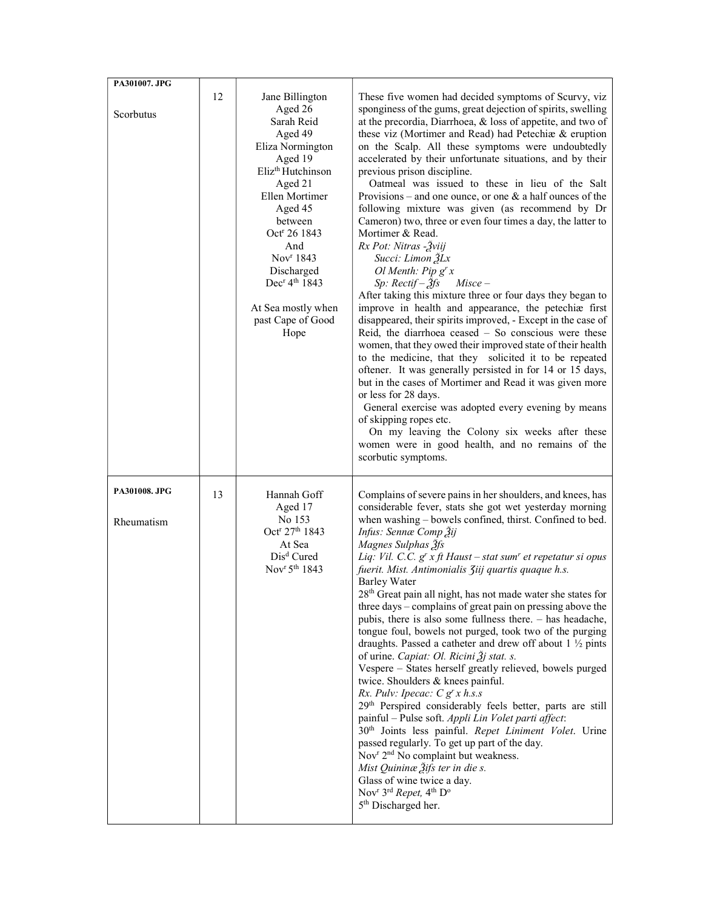| PA301007. JPG               |    |                                                                                                                                                                                                                                                                                                                                     |                                                                                                                                                                                                                                                                                                                                                                                                                                                                                                                                                                                                                                                                                                                                                                                                                                                                                                                                                                                                                                                                                                                                                                                                                                                                                                                                                                                                                                                                                                       |
|-----------------------------|----|-------------------------------------------------------------------------------------------------------------------------------------------------------------------------------------------------------------------------------------------------------------------------------------------------------------------------------------|-------------------------------------------------------------------------------------------------------------------------------------------------------------------------------------------------------------------------------------------------------------------------------------------------------------------------------------------------------------------------------------------------------------------------------------------------------------------------------------------------------------------------------------------------------------------------------------------------------------------------------------------------------------------------------------------------------------------------------------------------------------------------------------------------------------------------------------------------------------------------------------------------------------------------------------------------------------------------------------------------------------------------------------------------------------------------------------------------------------------------------------------------------------------------------------------------------------------------------------------------------------------------------------------------------------------------------------------------------------------------------------------------------------------------------------------------------------------------------------------------------|
| Scorbutus                   | 12 | Jane Billington<br>Aged 26<br>Sarah Reid<br>Aged 49<br>Eliza Normington<br>Aged 19<br>Eliz <sup>th</sup> Hutchinson<br>Aged 21<br>Ellen Mortimer<br>Aged 45<br>between<br>Oct <sup>r</sup> 26 1843<br>And<br>Nov $r$ 1843<br>Discharged<br>Dec <sup>r</sup> 4 <sup>th</sup> 1843<br>At Sea mostly when<br>past Cape of Good<br>Hope | These five women had decided symptoms of Scurvy, viz<br>sponginess of the gums, great dejection of spirits, swelling<br>at the precordia, Diarrhoea, & loss of appetite, and two of<br>these viz (Mortimer and Read) had Petechiæ & eruption<br>on the Scalp. All these symptoms were undoubtedly<br>accelerated by their unfortunate situations, and by their<br>previous prison discipline.<br>Oatmeal was issued to these in lieu of the Salt<br>Provisions – and one ounce, or one $\&$ a half ounces of the<br>following mixture was given (as recommend by Dr<br>Cameron) two, three or even four times a day, the latter to<br>Mortimer & Read.<br>Rx Pot: Nitras - Žviij<br>Succi: Limon 2Lx<br>Ol Menth: $Pip gr x$<br>Sp: $Rectif - 3fs$<br>$Misce -$<br>After taking this mixture three or four days they began to<br>improve in health and appearance, the petechiæ first<br>disappeared, their spirits improved, - Except in the case of<br>Reid, the diarrhoea ceased $-$ So conscious were these<br>women, that they owed their improved state of their health<br>to the medicine, that they solicited it to be repeated<br>oftener. It was generally persisted in for 14 or 15 days,<br>but in the cases of Mortimer and Read it was given more<br>or less for 28 days.<br>General exercise was adopted every evening by means<br>of skipping ropes etc.<br>On my leaving the Colony six weeks after these<br>women were in good health, and no remains of the<br>scorbutic symptoms. |
| PA301008. JPG<br>Rheumatism | 13 | Hannah Goff<br>Aged 17<br>No 153<br>Oct <sup>r</sup> 27 <sup>th</sup> 1843<br>At Sea<br>Dis <sup>d</sup> Cured<br>Nov <sup>r</sup> 5 <sup>th</sup> 1843                                                                                                                                                                             | Complains of severe pains in her shoulders, and knees, has<br>considerable fever, stats she got wet yesterday morning<br>when washing - bowels confined, thirst. Confined to bed.<br>Infus: Sennæ Comp Žij<br>Magnes Sulphas 3fs<br>Liq: Vil. C.C. $g'$ x ft Haust – stat sum' et repetatur si opus<br>fuerit. Mist. Antimonialis Ziij quartis quaque h.s.<br><b>Barley Water</b><br>28 <sup>th</sup> Great pain all night, has not made water she states for<br>three days – complains of great pain on pressing above the<br>pubis, there is also some fullness there. - has headache,<br>tongue foul, bowels not purged, took two of the purging<br>draughts. Passed a catheter and drew off about $1 \frac{1}{2}$ pints<br>of urine. Capiat: Ol. Ricini $\tilde{A}$ j stat. s.<br>Vespere - States herself greatly relieved, bowels purged<br>twice. Shoulders & knees painful.<br>Rx. Pulv: Ipecac: $C g^r x h.s.s$<br>29th Perspired considerably feels better, parts are still<br>painful - Pulse soft. Appli Lin Volet parti affect:<br>30 <sup>th</sup> Joints less painful. Repet Liniment Volet. Urine<br>passed regularly. To get up part of the day.<br>Nov <sup>r</sup> 2 <sup>nd</sup> No complaint but weakness.<br>Mist Quininæ 3ifs ter in die s.<br>Glass of wine twice a day.<br>Nov <sup>r</sup> 3 <sup>rd</sup> Repet, 4 <sup>th</sup> D <sup>o</sup><br>5 <sup>th</sup> Discharged her.                                                                                        |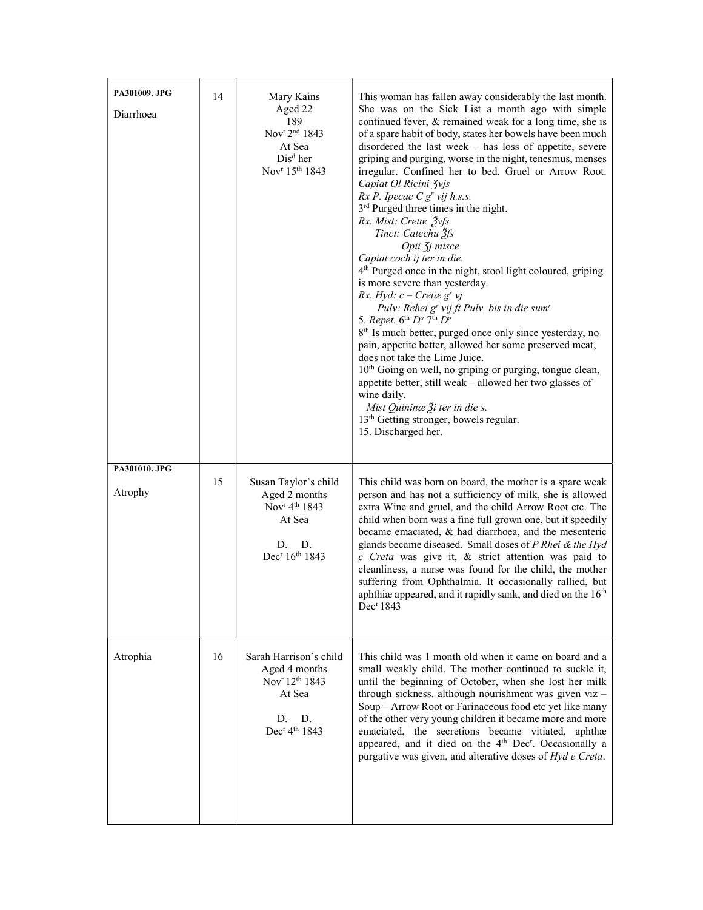| PA301009. JPG<br>Diarrhoea | 14 | Mary Kains<br>Aged 22<br>189<br>Nov <sup>r 2nd</sup> 1843<br>At Sea<br>Dis <sup>d</sup> her<br>Nov <sup>r</sup> 15 <sup>th</sup> 1843            | This woman has fallen away considerably the last month.<br>She was on the Sick List a month ago with simple<br>continued fever, & remained weak for a long time, she is<br>of a spare habit of body, states her bowels have been much<br>disordered the last week $-$ has loss of appetite, severe<br>griping and purging, worse in the night, tenesmus, menses<br>irregular. Confined her to bed. Gruel or Arrow Root.<br>Capiat Ol Ricini Zvjs<br>$Rx P.$ Ipecac $C gr$ vij h.s.s.<br>3 <sup>rd</sup> Purged three times in the night.<br>Rx. Mist: Cretæ Žyfs<br>Tinct: Catechu 3fs<br>Opii <i><b>J</b>j</i> misce<br>Capiat coch ij ter in die.<br>4 <sup>th</sup> Purged once in the night, stool light coloured, griping<br>is more severe than yesterday.<br>Rx. Hyd: $c$ – Cretæ g <sup>r</sup> vj<br>Pulv: Rehei g' vij ft Pulv. bis in die sum'<br>5. Repet. $6^{th}$ $D^o$ $7^{th}$ $D^o$<br>8 <sup>th</sup> Is much better, purged once only since yesterday, no<br>pain, appetite better, allowed her some preserved meat,<br>does not take the Lime Juice.<br>10 <sup>th</sup> Going on well, no griping or purging, tongue clean,<br>appetite better, still weak - allowed her two glasses of<br>wine daily.<br>Mist Quininæ $\tilde{A}$ i ter in die s.<br>13 <sup>th</sup> Getting stronger, bowels regular.<br>15. Discharged her. |
|----------------------------|----|--------------------------------------------------------------------------------------------------------------------------------------------------|------------------------------------------------------------------------------------------------------------------------------------------------------------------------------------------------------------------------------------------------------------------------------------------------------------------------------------------------------------------------------------------------------------------------------------------------------------------------------------------------------------------------------------------------------------------------------------------------------------------------------------------------------------------------------------------------------------------------------------------------------------------------------------------------------------------------------------------------------------------------------------------------------------------------------------------------------------------------------------------------------------------------------------------------------------------------------------------------------------------------------------------------------------------------------------------------------------------------------------------------------------------------------------------------------------------------------------------------------|
| PA301010. JPG<br>Atrophy   | 15 | Susan Taylor's child<br>Aged 2 months<br>Nov <sup>r</sup> 4 <sup>th</sup> 1843<br>At Sea<br>D.<br>D.<br>Dec <sup>r</sup> 16 <sup>th</sup> 1843   | This child was born on board, the mother is a spare weak<br>person and has not a sufficiency of milk, she is allowed<br>extra Wine and gruel, and the child Arrow Root etc. The<br>child when born was a fine full grown one, but it speedily<br>became emaciated, $\&$ had diarrhoea, and the mesenteric<br>glands became diseased. Small doses of P Rhei & the Hyd<br>$c$ Creta was give it, & strict attention was paid to<br>cleanliness, a nurse was found for the child, the mother<br>suffering from Ophthalmia. It occasionally rallied, but<br>aphthiæ appeared, and it rapidly sank, and died on the 16 <sup>th</sup><br>Dec <sup>r</sup> 1843                                                                                                                                                                                                                                                                                                                                                                                                                                                                                                                                                                                                                                                                                             |
| Atrophia                   | 16 | Sarah Harrison's child<br>Aged 4 months<br>Nov <sup>r</sup> 12 <sup>th</sup> 1843<br>At Sea<br>D.<br>D.<br>Dec <sup>r</sup> 4 <sup>th</sup> 1843 | This child was 1 month old when it came on board and a<br>small weakly child. The mother continued to suckle it,<br>until the beginning of October, when she lost her milk<br>through sickness. although nourishment was given viz -<br>Soup - Arrow Root or Farinaceous food etc yet like many<br>of the other very young children it became more and more<br>emaciated, the secretions became vitiated, aphthæ<br>appeared, and it died on the 4 <sup>th</sup> Dec <sup>r</sup> . Occasionally a<br>purgative was given, and alterative doses of Hyd e Creta.                                                                                                                                                                                                                                                                                                                                                                                                                                                                                                                                                                                                                                                                                                                                                                                      |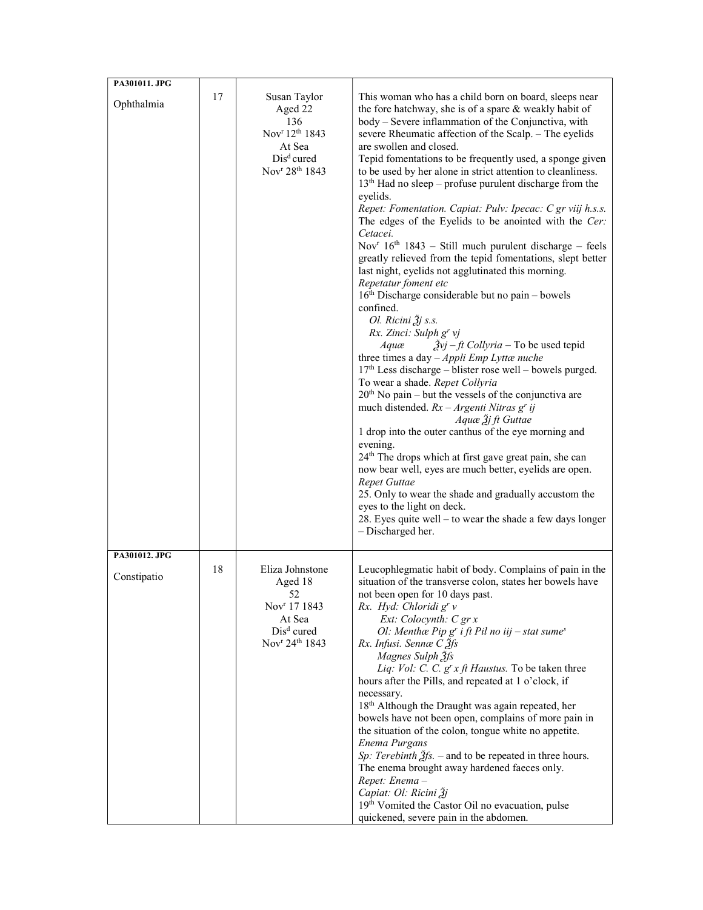| PA301011. JPG                |    |                                                                                                                                                        |                                                                                                                                                                                                                                                                                                                                                                                                                                                                                                                                                                                                                                                                                                                                                                                                                                                                                                                                                                                                                                                                                                                                                                                                                                                                                                                                                                                                                                                                                                                                                                                                                                                                                                                       |
|------------------------------|----|--------------------------------------------------------------------------------------------------------------------------------------------------------|-----------------------------------------------------------------------------------------------------------------------------------------------------------------------------------------------------------------------------------------------------------------------------------------------------------------------------------------------------------------------------------------------------------------------------------------------------------------------------------------------------------------------------------------------------------------------------------------------------------------------------------------------------------------------------------------------------------------------------------------------------------------------------------------------------------------------------------------------------------------------------------------------------------------------------------------------------------------------------------------------------------------------------------------------------------------------------------------------------------------------------------------------------------------------------------------------------------------------------------------------------------------------------------------------------------------------------------------------------------------------------------------------------------------------------------------------------------------------------------------------------------------------------------------------------------------------------------------------------------------------------------------------------------------------------------------------------------------------|
| Ophthalmia                   | 17 | Susan Taylor<br>Aged 22<br>136<br>Nov <sup>r</sup> 12 <sup>th</sup> 1843<br>At Sea<br>Dis <sup>d</sup> cured<br>Nov <sup>r</sup> 28 <sup>th</sup> 1843 | This woman who has a child born on board, sleeps near<br>the fore hatchway, she is of a spare & weakly habit of<br>body - Severe inflammation of the Conjunctiva, with<br>severe Rheumatic affection of the Scalp. - The eyelids<br>are swollen and closed.<br>Tepid fomentations to be frequently used, a sponge given<br>to be used by her alone in strict attention to cleanliness.<br>$13th$ Had no sleep – profuse purulent discharge from the<br>eyelids.<br>Repet: Fomentation. Capiat: Pulv: Ipecac: C gr viij h.s.s.<br>The edges of the Eyelids to be anointed with the Cer:<br>Cetacei.<br>Nov <sup>r</sup> $16th$ 1843 – Still much purulent discharge – feels<br>greatly relieved from the tepid fomentations, slept better<br>last night, eyelids not agglutinated this morning.<br>Repetatur foment etc<br>$16th$ Discharge considerable but no pain – bowels<br>confined.<br>Ol. Ricini Žj s.s.<br>Rx. Zinci: Sulph g' vj<br>$\frac{\partial y}{\partial y} - \frac{f}{f}$ Collyria – To be used tepid<br>Aquæ<br>three times a day $-Appli$ Emp Lyttænuche<br>$17th$ Less discharge – blister rose well – bowels purged.<br>To wear a shade. Repet Collyria<br>$20th$ No pain – but the vessels of the conjunctiva are<br>much distended. $Rx - Argenti$ Nitras g' ij<br>Aquæ $\tilde{f}$ j ft Guttae<br>1 drop into the outer canthus of the eye morning and<br>evening.<br>24 <sup>th</sup> The drops which at first gave great pain, she can<br>now bear well, eyes are much better, eyelids are open.<br>Repet Guttae<br>25. Only to wear the shade and gradually accustom the<br>eyes to the light on deck.<br>28. Eyes quite well $-$ to wear the shade a few days longer<br>- Discharged her. |
| PA301012. JPG<br>Constipatio | 18 | Eliza Johnstone<br>Aged 18<br>52<br>Nov <sup>r</sup> 17 1843<br>At Sea<br>$Disd$ cured<br>Nov <sup>r</sup> 24 <sup>th</sup> 1843                       | Leucophlegmatic habit of body. Complains of pain in the<br>situation of the transverse colon, states her bowels have<br>not been open for 10 days past.<br>Rx. Hyd: Chloridi g' v<br>Ext: Colocynth: C gr x<br>Ol: Menthæ Pip g' i ft Pil no iij - stat sume <sup>s</sup><br>Rx. Infusi. Sennæ C <sup>3fs</sup><br>Magnes Sulph 3fs<br>Liq: Vol: C. C. $g^{r} x ft$ Haustus. To be taken three<br>hours after the Pills, and repeated at 1 o'clock, if<br>necessary.<br>18 <sup>th</sup> Although the Draught was again repeated, her<br>bowels have not been open, complains of more pain in<br>the situation of the colon, tongue white no appetite.<br>Enema Purgans<br>Sp: Terebinth $\tilde{g}$ fs. – and to be repeated in three hours.<br>The enema brought away hardened faeces only.<br>Repet: Enema-<br>Capiat: Ol: Ricini Žj<br>19th Vomited the Castor Oil no evacuation, pulse<br>quickened, severe pain in the abdomen.                                                                                                                                                                                                                                                                                                                                                                                                                                                                                                                                                                                                                                                                                                                                                                                 |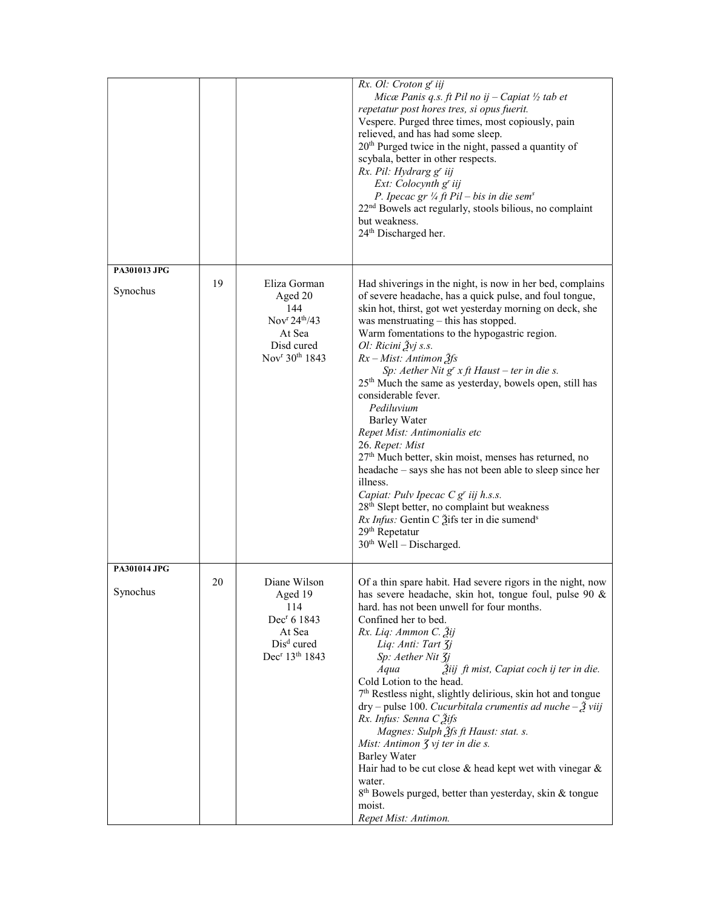|                          |    |                                                                                                                                           | Rx. Ol: Croton g' iij<br>Micæ Panis q.s. ft Pil no ij - Capiat $\frac{1}{2}$ tab et<br>repetatur post hores tres, si opus fuerit.<br>Vespere. Purged three times, most copiously, pain<br>relieved, and has had some sleep.<br>$20th$ Purged twice in the night, passed a quantity of<br>scybala, better in other respects.<br>Rx. Pil: Hydrarg g' iij<br>Ext: Colocynth g' iij<br>P. Ipecac gr $\frac{1}{4}$ ft Pil – bis in die sem <sup>s</sup><br>22 <sup>nd</sup> Bowels act regularly, stools bilious, no complaint<br>but weakness.<br>24 <sup>th</sup> Discharged her.                                                                                                                                                                                                                                                                                                                                                                                            |  |  |  |  |
|--------------------------|----|-------------------------------------------------------------------------------------------------------------------------------------------|---------------------------------------------------------------------------------------------------------------------------------------------------------------------------------------------------------------------------------------------------------------------------------------------------------------------------------------------------------------------------------------------------------------------------------------------------------------------------------------------------------------------------------------------------------------------------------------------------------------------------------------------------------------------------------------------------------------------------------------------------------------------------------------------------------------------------------------------------------------------------------------------------------------------------------------------------------------------------|--|--|--|--|
| PA301013 JPG<br>Synochus | 19 | Eliza Gorman<br>Aged 20<br>144<br>Nov <sup>r</sup> 24 <sup>th</sup> /43<br>At Sea<br>Disd cured<br>Nov <sup>r</sup> 30 <sup>th</sup> 1843 | Had shiverings in the night, is now in her bed, complains<br>of severe headache, has a quick pulse, and foul tongue,<br>skin hot, thirst, got wet yesterday morning on deck, she<br>was menstruating – this has stopped.<br>Warm fomentations to the hypogastric region.<br>Ol: Ricini Žvj s.s.<br>$Rx - Mist:$ Antimon $\tilde{g}$ fs<br>Sp: Aether Nit $gr x ft$ Haust – ter in die s.<br>25 <sup>th</sup> Much the same as yesterday, bowels open, still has<br>considerable fever.<br>Pediluvium<br><b>Barley Water</b><br>Repet Mist: Antimonialis etc<br>26. Repet: Mist<br>27 <sup>th</sup> Much better, skin moist, menses has returned, no<br>headache – says she has not been able to sleep since her<br>illness.<br>Capiat: Pulv Ipecac $C g^{r}$ iij h.s.s.<br>28 <sup>th</sup> Slept better, no complaint but weakness<br><i>Rx Infus:</i> Gentin C gifs ter in die sumend <sup>s</sup><br>29 <sup>th</sup> Repetatur<br>30 <sup>th</sup> Well - Discharged. |  |  |  |  |
| PA301014 JPG<br>Synochus | 20 | Diane Wilson<br>Aged 19<br>114<br>Dec <sup>r</sup> 6 1843<br>At Sea<br>Dis <sup>d</sup> cured<br>Dec <sup>r</sup> 13 <sup>th</sup> 1843   | Of a thin spare habit. Had severe rigors in the night, now<br>has severe headache, skin hot, tongue foul, pulse $90 \&$<br>hard, has not been unwell for four months.<br>Confined her to bed.<br>Rx. Liq: Ammon C. Žij<br>Liq: Anti: Tart 3j<br>Sp: Aether Nit 3j<br>Žiij ft mist, Capiat coch ij ter in die.<br>Aqua<br>Cold Lotion to the head.<br>7 <sup>th</sup> Restless night, slightly delirious, skin hot and tongue<br>$\text{dry}-\text{pulse }100$ . Cucurbitala crumentis ad nuche - $\tilde{A}$ viij<br>Rx. Infus: Senna C 3ifs<br>Magnes: Sulph $\tilde{A}$ fs ft Haust: stat. s.<br>Mist: Antimon $\overline{f}$ vj ter in die s.<br><b>Barley Water</b><br>Hair had to be cut close $\&$ head kept wet with vinegar $\&$<br>water.<br>8 <sup>th</sup> Bowels purged, better than yesterday, skin & tongue<br>moist.<br>Repet Mist: Antimon.                                                                                                               |  |  |  |  |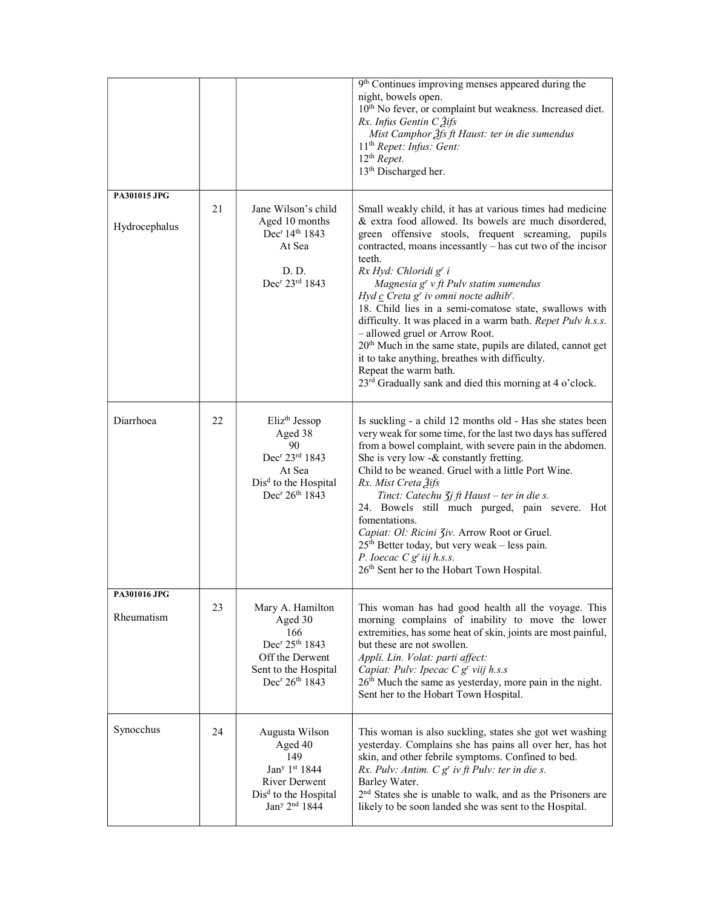|                                         |    |                                                                                                                                                                                | 9 <sup>th</sup> Continues improving menses appeared during the<br>night, bowels open.<br>10 <sup>th</sup> No fever, or complaint but weakness. Increased diet.<br>Rx. Infus Gentin C 3ifs<br>Mist Camphor $\tilde{g}$ fs ft Haust: ter in die sumendus<br>11 <sup>th</sup> Repet: Infus: Gent:<br>$12th$ Repet.<br>13 <sup>th</sup> Discharged her.                                                                                                                                                                                                                                                                                                                                                                                                     |  |  |  |  |
|-----------------------------------------|----|--------------------------------------------------------------------------------------------------------------------------------------------------------------------------------|---------------------------------------------------------------------------------------------------------------------------------------------------------------------------------------------------------------------------------------------------------------------------------------------------------------------------------------------------------------------------------------------------------------------------------------------------------------------------------------------------------------------------------------------------------------------------------------------------------------------------------------------------------------------------------------------------------------------------------------------------------|--|--|--|--|
| PA301015 JPG                            |    |                                                                                                                                                                                |                                                                                                                                                                                                                                                                                                                                                                                                                                                                                                                                                                                                                                                                                                                                                         |  |  |  |  |
| Hydrocephalus                           | 21 | Jane Wilson's child<br>Aged 10 months<br>Dec <sup>r</sup> 14 <sup>th</sup> 1843<br>At Sea<br>D. D.<br>Dec <sup>r</sup> 23rd 1843                                               | Small weakly child, it has at various times had medicine<br>& extra food allowed. Its bowels are much disordered,<br>green offensive stools, frequent screaming, pupils<br>contracted, moans incessantly – has cut two of the incisor<br>teeth.<br>Rx Hyd: Chloridi g' i<br>Magnesia $gr$ v ft Pulv statim sumendus<br>Hyd $c$ Creta $gr$ iv omni nocte adhib'.<br>18. Child lies in a semi-comatose state, swallows with<br>difficulty. It was placed in a warm bath. Repet Pulv h.s.s.<br>- allowed gruel or Arrow Root.<br>20 <sup>th</sup> Much in the same state, pupils are dilated, cannot get<br>it to take anything, breathes with difficulty.<br>Repeat the warm bath.<br>23 <sup>rd</sup> Gradually sank and died this morning at 4 o'clock. |  |  |  |  |
|                                         |    |                                                                                                                                                                                |                                                                                                                                                                                                                                                                                                                                                                                                                                                                                                                                                                                                                                                                                                                                                         |  |  |  |  |
| Diarrhoea                               | 22 | Eliz <sup>th</sup> Jessop<br>Aged 38<br>90<br>Dec <sup>r</sup> 23rd 1843<br>At Sea<br>Dis <sup>d</sup> to the Hospital<br>Dec <sup>r</sup> 26 <sup>th</sup> 1843               | Is suckling - a child 12 months old - Has she states been<br>very weak for some time, for the last two days has suffered<br>from a bowel complaint, with severe pain in the abdomen.<br>She is very low -& constantly fretting.<br>Child to be weaned. Gruel with a little Port Wine.<br>Rx. Mist Creta 3ifs<br>Tinct: Catechu Zj ft Haust - ter in die s.<br>24. Bowels still much purged, pain severe. Hot<br>fomentations.<br>Capiat: Ol: Ricini 3iv. Arrow Root or Gruel.<br>$25th$ Better today, but very weak - less pain.<br>P. loecac $C g'$ iij h.s.s.<br>26 <sup>th</sup> Sent her to the Hobart Town Hospital.                                                                                                                               |  |  |  |  |
| <b>PA301016 JPG</b><br>23<br>Rheumatism |    | Mary A. Hamilton<br>Aged 30<br>166<br>Dec <sup>r</sup> 25 <sup>th</sup> 1843<br>Off the Derwent<br>Sent to the Hospital<br>Dec <sup>r</sup> 26 <sup>th</sup> 1843              | This woman has had good health all the voyage. This<br>morning complains of inability to move the lower<br>extremities, has some heat of skin, joints are most painful,<br>but these are not swollen.<br>Appli. Lin. Volat: parti affect:<br>Capiat: Pulv: Ipecac C g' viij h.s.s<br>26 <sup>th</sup> Much the same as yesterday, more pain in the night.<br>Sent her to the Hobart Town Hospital.                                                                                                                                                                                                                                                                                                                                                      |  |  |  |  |
| Synocchus                               | 24 | Augusta Wilson<br>Aged 40<br>149<br>Jan <sup>y</sup> 1 <sup>st</sup> 1844<br><b>River Derwent</b><br>Dis <sup>d</sup> to the Hospital<br>Jan <sup>y</sup> 2 <sup>nd</sup> 1844 | This woman is also suckling, states she got wet washing<br>yesterday. Complains she has pains all over her, has hot<br>skin, and other febrile symptoms. Confined to bed.<br>Rx. Pulv: Antim. $C gr$ iv ft Pulv: ter in die s.<br>Barley Water.<br>2 <sup>nd</sup> States she is unable to walk, and as the Prisoners are<br>likely to be soon landed she was sent to the Hospital.                                                                                                                                                                                                                                                                                                                                                                     |  |  |  |  |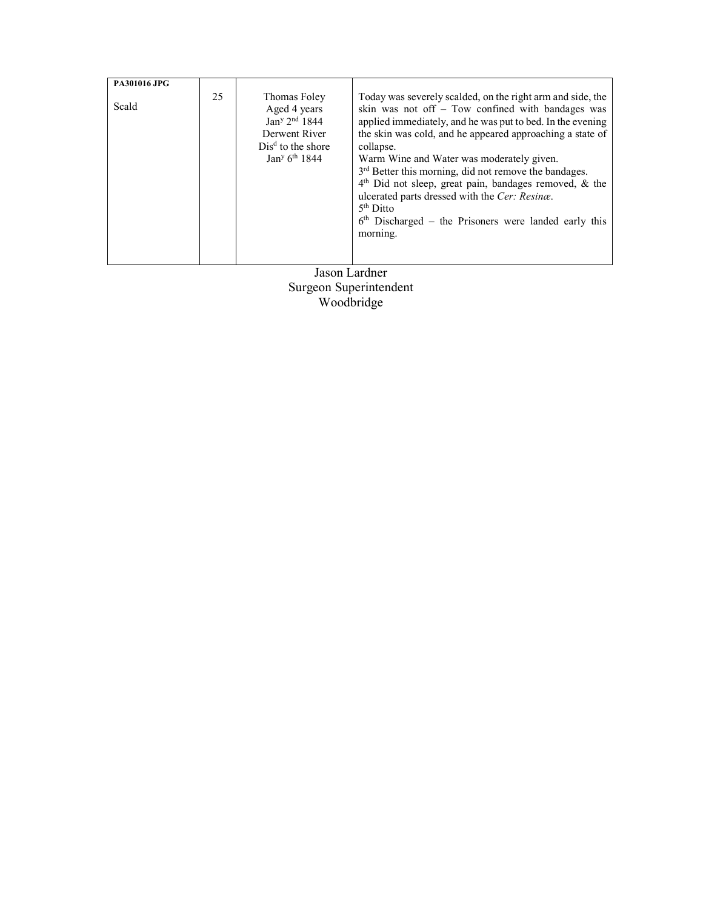| PA301016 JPG |    |                                                                                                                                                        |                                                                                                                                                                                                                                                                                                                                                                                                                                                                                                                                                                                |
|--------------|----|--------------------------------------------------------------------------------------------------------------------------------------------------------|--------------------------------------------------------------------------------------------------------------------------------------------------------------------------------------------------------------------------------------------------------------------------------------------------------------------------------------------------------------------------------------------------------------------------------------------------------------------------------------------------------------------------------------------------------------------------------|
| Scald        | 25 | Thomas Foley<br>Aged 4 years<br>Jan <sup>y</sup> 2 <sup>nd</sup> 1844<br>Derwent River<br>$Disd$ to the shore<br>Jan <sup>y</sup> 6 <sup>th</sup> 1844 | Today was severely scalded, on the right arm and side, the<br>skin was not off $-$ Tow confined with bandages was<br>applied immediately, and he was put to bed. In the evening<br>the skin was cold, and he appeared approaching a state of<br>collapse.<br>Warm Wine and Water was moderately given.<br>3 <sup>rd</sup> Better this morning, did not remove the bandages.<br>$4th$ Did not sleep, great pain, bandages removed, & the<br>ulcerated parts dressed with the Cer: Resinæ.<br>$5th$ Ditto<br>$6th$ Discharged – the Prisoners were landed early this<br>morning. |

Jason Lardner Surgeon Superintendent Woodbridge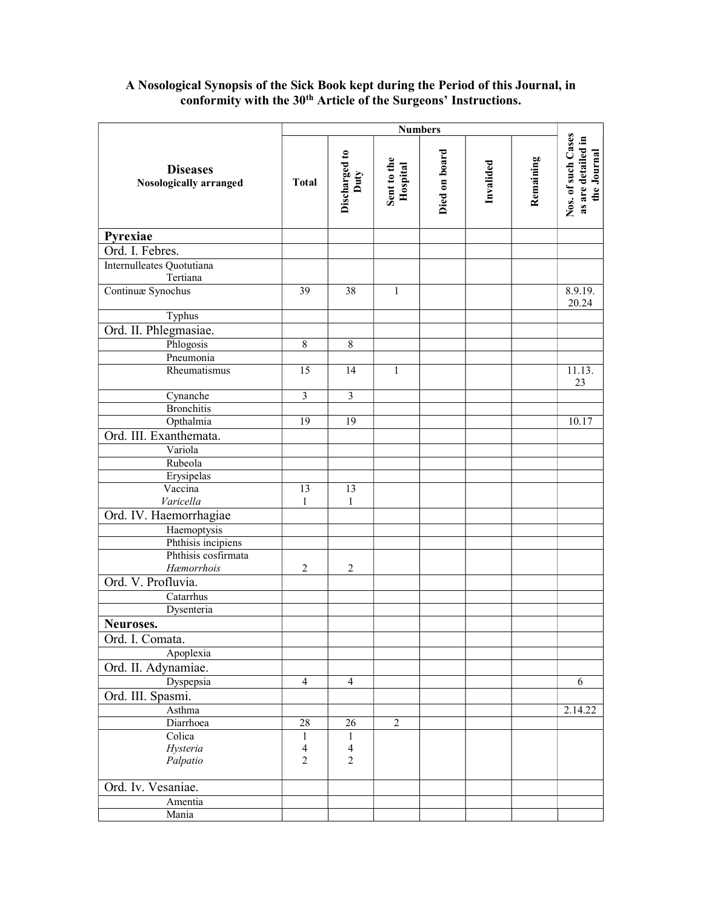### Diseases Nosologically arranged Numbers<br>
Discharged to<br>
Duty<br>
Duty<br>
Hospital<br>
Died on board<br>
Died on board<br>
Invalided<br>
Invalided<br>
Remaining<br>
Remaining<br>
Remaining<br>
Nos. of such Cases<br>
as are detailed in Pyrexiae Ord. I. Febres. Internulleates Quotutiana Tertiana **Continua:** Synochus 39 38 1 8.9.19. 20.24 Typhus Ord. II. Phlegmasiae. Phlogosis 8 8 Pneumonia Rheumatismus 15 14 1 11.13. 23 Cynanche 3 3 3 **Bronchitis** Opthalmia 19 19 19 19 10.17 Ord. III. Exanthemata. Variola Rubeola Erysipelas Vaccina Varicella 13 1 13 1 Ord. IV. Haemorrhagiae **Haemoptysis**  Phthisis incipiens Phthisis cosfirmata Hæmorrhois 2<sup>2</sup> Ord. V. Profluvia. **Catarrhus**  Dysenteria Neuroses. Ord. I. Comata. Apoplexia Ord. II. Adynamiae. Dyspepsia 4 4 6 Ord. III. Spasmi. Asthma 2.14.22 Diarrhoea 28 26 2 **Colica**  Hysteria Palpatio 1 4 2 1 4 2

Ord. Iv. Vesaniae.

 Amentia Mania

# A Nosological Synopsis of the Sick Book kept during the Period of this Journal, in conformity with the 30<sup>th</sup> Article of the Surgeons' Instructions.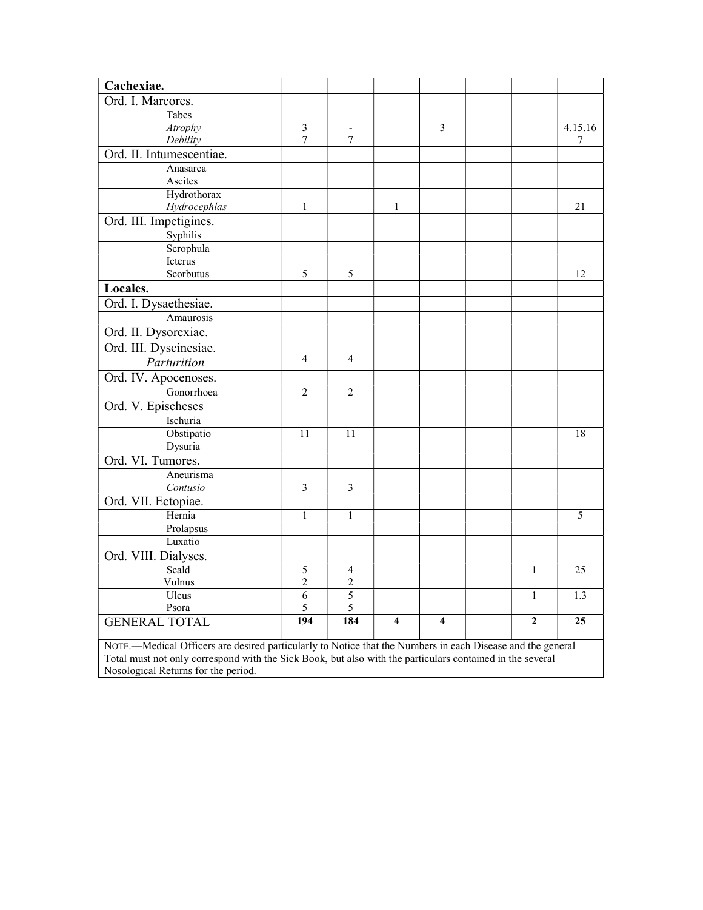| Cachexiae.                                                                                                 |                                                                                                                                                  |                              |                |                |  |              |         |  |
|------------------------------------------------------------------------------------------------------------|--------------------------------------------------------------------------------------------------------------------------------------------------|------------------------------|----------------|----------------|--|--------------|---------|--|
| Ord. I. Marcores.                                                                                          |                                                                                                                                                  |                              |                |                |  |              |         |  |
| Tabes                                                                                                      |                                                                                                                                                  |                              |                |                |  |              |         |  |
| Atrophy                                                                                                    | 3                                                                                                                                                | $\qquad \qquad \blacksquare$ |                | 3              |  |              | 4.15.16 |  |
| Debility                                                                                                   | 7                                                                                                                                                | 7                            |                |                |  |              | 7       |  |
| Ord. II. Intumescentiae.                                                                                   |                                                                                                                                                  |                              |                |                |  |              |         |  |
| Anasarca                                                                                                   |                                                                                                                                                  |                              |                |                |  |              |         |  |
| Ascites                                                                                                    |                                                                                                                                                  |                              |                |                |  |              |         |  |
| Hydrothorax                                                                                                |                                                                                                                                                  |                              |                |                |  |              |         |  |
| Hydrocephlas                                                                                               | $\mathbf{1}$                                                                                                                                     |                              | 1              |                |  |              | 21      |  |
| Ord. III. Impetigines.                                                                                     |                                                                                                                                                  |                              |                |                |  |              |         |  |
| Syphilis                                                                                                   |                                                                                                                                                  |                              |                |                |  |              |         |  |
| Scrophula                                                                                                  |                                                                                                                                                  |                              |                |                |  |              |         |  |
| Icterus                                                                                                    |                                                                                                                                                  |                              |                |                |  |              |         |  |
| Scorbutus                                                                                                  | $\overline{5}$                                                                                                                                   | 5                            |                |                |  |              | 12      |  |
| Locales.                                                                                                   |                                                                                                                                                  |                              |                |                |  |              |         |  |
| Ord. I. Dysaethesiae.                                                                                      |                                                                                                                                                  |                              |                |                |  |              |         |  |
| Amaurosis                                                                                                  |                                                                                                                                                  |                              |                |                |  |              |         |  |
| Ord. II. Dysorexiae.                                                                                       |                                                                                                                                                  |                              |                |                |  |              |         |  |
| Ord. III. Dyscinesiae.                                                                                     |                                                                                                                                                  |                              |                |                |  |              |         |  |
| Parturition                                                                                                | 4                                                                                                                                                | 4                            |                |                |  |              |         |  |
| Ord. IV. Apocenoses.                                                                                       |                                                                                                                                                  |                              |                |                |  |              |         |  |
| Gonorrhoea                                                                                                 | $\overline{2}$                                                                                                                                   | $\overline{c}$               |                |                |  |              |         |  |
| Ord. V. Epischeses                                                                                         |                                                                                                                                                  |                              |                |                |  |              |         |  |
| Ischuria                                                                                                   |                                                                                                                                                  |                              |                |                |  |              |         |  |
| Obstipatio                                                                                                 | 11                                                                                                                                               | 11                           |                |                |  |              | 18      |  |
| Dysuria                                                                                                    |                                                                                                                                                  |                              |                |                |  |              |         |  |
| Ord. VI. Tumores.                                                                                          |                                                                                                                                                  |                              |                |                |  |              |         |  |
| Aneurisma                                                                                                  |                                                                                                                                                  |                              |                |                |  |              |         |  |
| Contusio                                                                                                   | $\mathfrak{Z}$                                                                                                                                   | $\mathfrak{Z}$               |                |                |  |              |         |  |
| Ord. VII. Ectopiae.                                                                                        |                                                                                                                                                  |                              |                |                |  |              |         |  |
| Hernia                                                                                                     | $\mathbf{1}$                                                                                                                                     | $\mathbf{1}$                 |                |                |  |              | 5       |  |
| Prolapsus                                                                                                  |                                                                                                                                                  |                              |                |                |  |              |         |  |
| Luxatio                                                                                                    |                                                                                                                                                  |                              |                |                |  |              |         |  |
| Ord. VIII. Dialyses.                                                                                       |                                                                                                                                                  |                              |                |                |  |              |         |  |
| Scald                                                                                                      | 5                                                                                                                                                | $\overline{4}$               |                |                |  | $\mathbf{1}$ | 25      |  |
| Vulnus                                                                                                     | $\sqrt{2}$                                                                                                                                       | $\overline{2}$               |                |                |  |              |         |  |
| Ulcus                                                                                                      | $\overline{6}$                                                                                                                                   | $\overline{5}$               |                |                |  | 1            | 1.3     |  |
| Psora                                                                                                      | 5                                                                                                                                                | 5                            |                |                |  |              |         |  |
| <b>GENERAL TOTAL</b>                                                                                       | 194                                                                                                                                              | 184                          | $\overline{4}$ | $\overline{4}$ |  | $\mathbf{2}$ | 25      |  |
| NOTE.—Medical Officers are desired particularly to Notice that the Numbers in each Disease and the general |                                                                                                                                                  |                              |                |                |  |              |         |  |
|                                                                                                            |                                                                                                                                                  |                              |                |                |  |              |         |  |
|                                                                                                            | Total must not only correspond with the Sick Book, but also with the particulars contained in the several<br>Nosological Returns for the period. |                              |                |                |  |              |         |  |